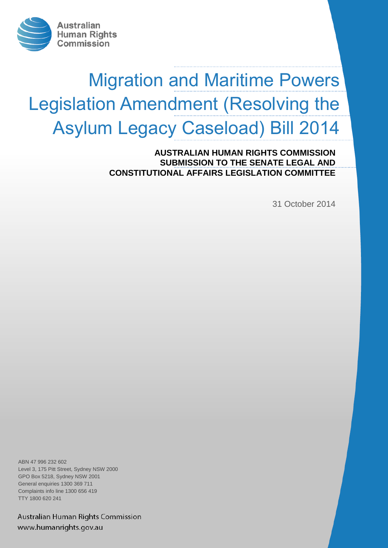

# Migration and Maritime Powers Legislation Amendment (Resolving the Asylum Legacy Caseload) Bill 2014

**AUSTRALIAN HUMAN RIGHTS COMMISSION** 2014 **SUBMISSION TO THE SENATE LEGAL AND CONSTITUTIONAL AFFAIRS LEGISLATION COMMITTEE** 

31 October 2014

ABN 47 996 232 602 Level 3, 175 Pitt Street, Sydney NSW 2000 GPO Box 5218, Sydney NSW 2001 General enquiries 1300 369 711 Complaints info line 1300 656 419 TTY 1800 620 241

Australian Human Rights Commission www.humanrights.gov.au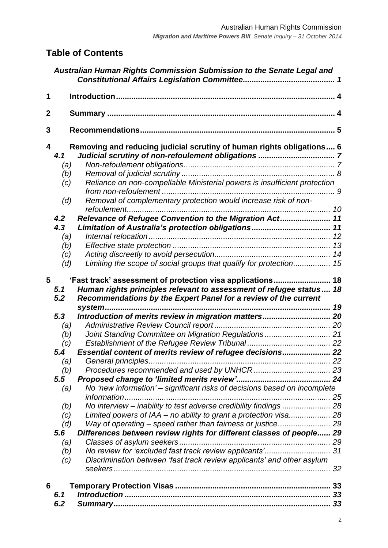# **Table of Contents**

|             |                                                                           | Australian Human Rights Commission Submission to the Senate Legal and                                                                                                                                                                                                                                                                                                 |  |
|-------------|---------------------------------------------------------------------------|-----------------------------------------------------------------------------------------------------------------------------------------------------------------------------------------------------------------------------------------------------------------------------------------------------------------------------------------------------------------------|--|
| 1           |                                                                           |                                                                                                                                                                                                                                                                                                                                                                       |  |
| $\mathbf 2$ |                                                                           |                                                                                                                                                                                                                                                                                                                                                                       |  |
| 3           |                                                                           |                                                                                                                                                                                                                                                                                                                                                                       |  |
| 4           | 4.1<br>(a)<br>(b)<br>(c)<br>(d)<br>4.2<br>4.3<br>(a)<br>(b)<br>(c)<br>(d) | Removing and reducing judicial scrutiny of human rights obligations 6<br>Reliance on non-compellable Ministerial powers is insufficient protection<br>Removal of complementary protection would increase risk of non-<br>refoulement<br>Relevance of Refugee Convention to the Migration Act 11<br>Limiting the scope of social groups that qualify for protection 15 |  |
| 5           | 5.1<br>5.2                                                                | Human rights principles relevant to assessment of refugee status 18<br>Recommendations by the Expert Panel for a review of the current                                                                                                                                                                                                                                |  |
|             | 5.3                                                                       | Introduction of merits review in migration matters 20                                                                                                                                                                                                                                                                                                                 |  |
|             | (a)                                                                       |                                                                                                                                                                                                                                                                                                                                                                       |  |
|             | (b)                                                                       | Joint Standing Committee on Migration Regulations  21                                                                                                                                                                                                                                                                                                                 |  |
|             |                                                                           |                                                                                                                                                                                                                                                                                                                                                                       |  |
|             | (c)                                                                       |                                                                                                                                                                                                                                                                                                                                                                       |  |
|             | 5.4                                                                       | Essential content of merits review of refugee decisions 22                                                                                                                                                                                                                                                                                                            |  |
|             | (a)                                                                       |                                                                                                                                                                                                                                                                                                                                                                       |  |
|             | (b)<br>5.5                                                                |                                                                                                                                                                                                                                                                                                                                                                       |  |
|             |                                                                           | No 'new information' - significant risks of decisions based on incomplete                                                                                                                                                                                                                                                                                             |  |
|             | (a)                                                                       |                                                                                                                                                                                                                                                                                                                                                                       |  |
|             |                                                                           | No interview - inability to test adverse credibility findings  28                                                                                                                                                                                                                                                                                                     |  |
|             | (b)                                                                       | Limited powers of IAA - no ability to grant a protection visa 28                                                                                                                                                                                                                                                                                                      |  |
|             | (c)                                                                       | Way of operating - speed rather than fairness or justice 29                                                                                                                                                                                                                                                                                                           |  |
|             | (d)<br>5.6                                                                | Differences between review rights for different classes of people 29                                                                                                                                                                                                                                                                                                  |  |
|             |                                                                           |                                                                                                                                                                                                                                                                                                                                                                       |  |
|             | (a)                                                                       | No review for 'excluded fast track review applicants' 31                                                                                                                                                                                                                                                                                                              |  |
|             | (b)                                                                       | Discrimination between 'fast track review applicants' and other asylum                                                                                                                                                                                                                                                                                                |  |
|             | (c)                                                                       |                                                                                                                                                                                                                                                                                                                                                                       |  |
| 6           |                                                                           |                                                                                                                                                                                                                                                                                                                                                                       |  |
|             |                                                                           |                                                                                                                                                                                                                                                                                                                                                                       |  |
|             | 6.1                                                                       |                                                                                                                                                                                                                                                                                                                                                                       |  |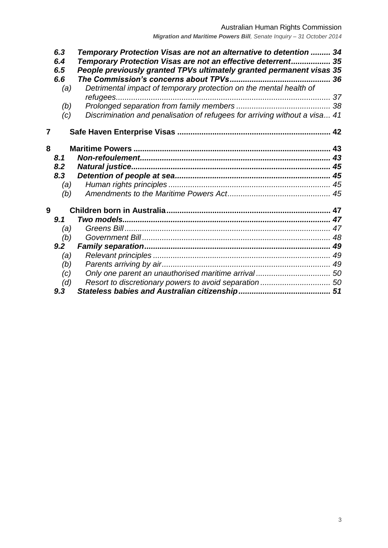|   | 6.3 | Temporary Protection Visas are not an alternative to detention  34         |  |
|---|-----|----------------------------------------------------------------------------|--|
|   | 6.4 | Temporary Protection Visas are not an effective deterrent 35               |  |
|   | 6.5 | People previously granted TPVs ultimately granted permanent visas 35       |  |
|   | 6.6 |                                                                            |  |
|   | (a) | Detrimental impact of temporary protection on the mental health of         |  |
|   |     |                                                                            |  |
|   | (b) |                                                                            |  |
|   | (c) | Discrimination and penalisation of refugees for arriving without a visa 41 |  |
| 7 |     |                                                                            |  |
| 8 |     |                                                                            |  |
|   | 8.1 |                                                                            |  |
|   | 8.2 |                                                                            |  |
|   | 8.3 |                                                                            |  |
|   | (a) |                                                                            |  |
|   | (b) |                                                                            |  |
| 9 |     |                                                                            |  |
|   | 9.1 |                                                                            |  |
|   | (a) |                                                                            |  |
|   | (b) |                                                                            |  |
|   | 9.2 |                                                                            |  |
|   | (a) |                                                                            |  |
|   | (b) |                                                                            |  |
|   | (c) |                                                                            |  |
|   | (d) |                                                                            |  |
|   | 9.3 |                                                                            |  |
|   |     |                                                                            |  |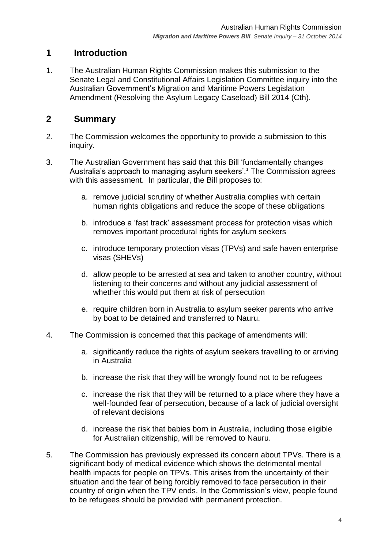## <span id="page-3-0"></span>**1 Introduction**

1. The Australian Human Rights Commission makes this submission to the Senate Legal and Constitutional Affairs Legislation Committee inquiry into the Australian Government's Migration and Maritime Powers Legislation Amendment (Resolving the Asylum Legacy Caseload) Bill 2014 (Cth).

## <span id="page-3-1"></span>**2 Summary**

- 2. The Commission welcomes the opportunity to provide a submission to this inquiry.
- 3. The Australian Government has said that this Bill 'fundamentally changes Australia's approach to managing asylum seekers'.<sup>1</sup> The Commission agrees with this assessment. In particular, the Bill proposes to:
	- a. remove judicial scrutiny of whether Australia complies with certain human rights obligations and reduce the scope of these obligations
	- b. introduce a 'fast track' assessment process for protection visas which removes important procedural rights for asylum seekers
	- c. introduce temporary protection visas (TPVs) and safe haven enterprise visas (SHEVs)
	- d. allow people to be arrested at sea and taken to another country, without listening to their concerns and without any judicial assessment of whether this would put them at risk of persecution
	- e. require children born in Australia to asylum seeker parents who arrive by boat to be detained and transferred to Nauru.
- 4. The Commission is concerned that this package of amendments will:
	- a. significantly reduce the rights of asylum seekers travelling to or arriving in Australia
	- b. increase the risk that they will be wrongly found not to be refugees
	- c. increase the risk that they will be returned to a place where they have a well-founded fear of persecution, because of a lack of judicial oversight of relevant decisions
	- d. increase the risk that babies born in Australia, including those eligible for Australian citizenship, will be removed to Nauru.
- 5. The Commission has previously expressed its concern about TPVs. There is a significant body of medical evidence which shows the detrimental mental health impacts for people on TPVs. This arises from the uncertainty of their situation and the fear of being forcibly removed to face persecution in their country of origin when the TPV ends. In the Commission's view, people found to be refugees should be provided with permanent protection.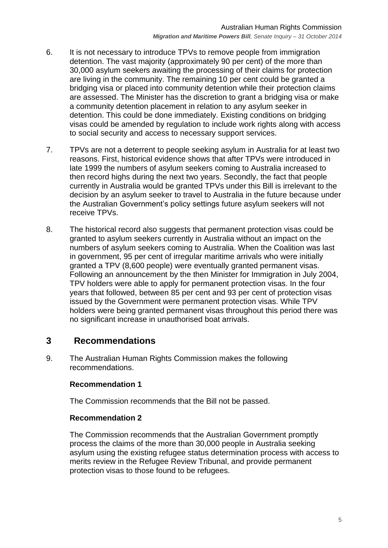- 6. It is not necessary to introduce TPVs to remove people from immigration detention. The vast majority (approximately 90 per cent) of the more than 30,000 asylum seekers awaiting the processing of their claims for protection are living in the community. The remaining 10 per cent could be granted a bridging visa or placed into community detention while their protection claims are assessed. The Minister has the discretion to grant a bridging visa or make a community detention placement in relation to any asylum seeker in detention. This could be done immediately. Existing conditions on bridging visas could be amended by regulation to include work rights along with access to social security and access to necessary support services.
- 7. TPVs are not a deterrent to people seeking asylum in Australia for at least two reasons. First, historical evidence shows that after TPVs were introduced in late 1999 the numbers of asylum seekers coming to Australia increased to then record highs during the next two years. Secondly, the fact that people currently in Australia would be granted TPVs under this Bill is irrelevant to the decision by an asylum seeker to travel to Australia in the future because under the Australian Government's policy settings future asylum seekers will not receive TPVs.
- 8. The historical record also suggests that permanent protection visas could be granted to asylum seekers currently in Australia without an impact on the numbers of asylum seekers coming to Australia. When the Coalition was last in government, 95 per cent of irregular maritime arrivals who were initially granted a TPV (8,600 people) were eventually granted permanent visas. Following an announcement by the then Minister for Immigration in July 2004, TPV holders were able to apply for permanent protection visas. In the four years that followed, between 85 per cent and 93 per cent of protection visas issued by the Government were permanent protection visas. While TPV holders were being granted permanent visas throughout this period there was no significant increase in unauthorised boat arrivals.

## <span id="page-4-0"></span>**3 Recommendations**

9. The Australian Human Rights Commission makes the following recommendations.

#### **Recommendation 1**

The Commission recommends that the Bill not be passed.

#### **Recommendation 2**

The Commission recommends that the Australian Government promptly process the claims of the more than 30,000 people in Australia seeking asylum using the existing refugee status determination process with access to merits review in the Refugee Review Tribunal, and provide permanent protection visas to those found to be refugees.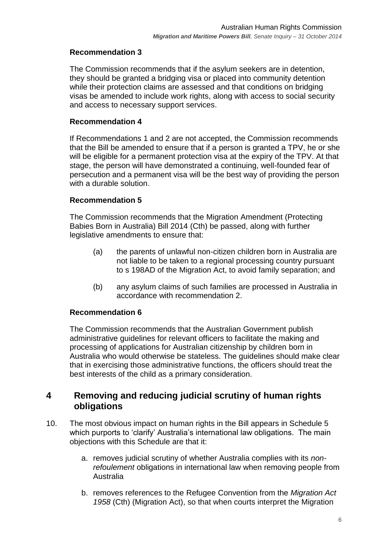#### **Recommendation 3**

The Commission recommends that if the asylum seekers are in detention, they should be granted a bridging visa or placed into community detention while their protection claims are assessed and that conditions on bridging visas be amended to include work rights, along with access to social security and access to necessary support services.

#### **Recommendation 4**

If Recommendations 1 and 2 are not accepted, the Commission recommends that the Bill be amended to ensure that if a person is granted a TPV, he or she will be eligible for a permanent protection visa at the expiry of the TPV. At that stage, the person will have demonstrated a continuing, well-founded fear of persecution and a permanent visa will be the best way of providing the person with a durable solution.

#### **Recommendation 5**

The Commission recommends that the Migration Amendment (Protecting Babies Born in Australia) Bill 2014 (Cth) be passed, along with further legislative amendments to ensure that:

- (a) the parents of unlawful non-citizen children born in Australia are not liable to be taken to a regional processing country pursuant to s 198AD of the Migration Act, to avoid family separation; and
- (b) any asylum claims of such families are processed in Australia in accordance with recommendation 2.

#### **Recommendation 6**

The Commission recommends that the Australian Government publish administrative guidelines for relevant officers to facilitate the making and processing of applications for Australian citizenship by children born in Australia who would otherwise be stateless. The guidelines should make clear that in exercising those administrative functions, the officers should treat the best interests of the child as a primary consideration.

## <span id="page-5-0"></span>**4 Removing and reducing judicial scrutiny of human rights obligations**

- 10. The most obvious impact on human rights in the Bill appears in Schedule 5 which purports to 'clarify' Australia's international law obligations. The main objections with this Schedule are that it:
	- a. removes judicial scrutiny of whether Australia complies with its *nonrefoulement* obligations in international law when removing people from Australia
	- b. removes references to the Refugee Convention from the *Migration Act 1958* (Cth) (Migration Act), so that when courts interpret the Migration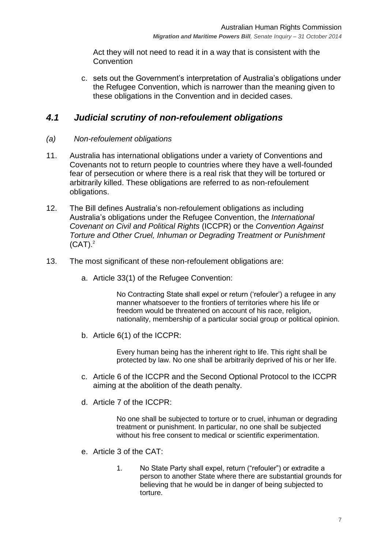Act they will not need to read it in a way that is consistent with the **Convention** 

c. sets out the Government's interpretation of Australia's obligations under the Refugee Convention, which is narrower than the meaning given to these obligations in the Convention and in decided cases.

## <span id="page-6-0"></span>*4.1 Judicial scrutiny of non-refoulement obligations*

- <span id="page-6-1"></span>*(a) Non-refoulement obligations*
- 11. Australia has international obligations under a variety of Conventions and Covenants not to return people to countries where they have a well-founded fear of persecution or where there is a real risk that they will be tortured or arbitrarily killed. These obligations are referred to as non-refoulement obligations.
- 12. The Bill defines Australia's non-refoulement obligations as including Australia's obligations under the Refugee Convention, the *International Covenant on Civil and Political Rights* (ICCPR) or the *Convention Against Torture and Other Cruel, Inhuman or Degrading Treatment or Punishment*  $(CAT)<sup>2</sup>$
- <span id="page-6-2"></span>13. The most significant of these non-refoulement obligations are:
	- a. Article 33(1) of the Refugee Convention:

No Contracting State shall expel or return ('refouler') a refugee in any manner whatsoever to the frontiers of territories where his life or freedom would be threatened on account of his race, religion, nationality, membership of a particular social group or political opinion.

b. Article 6(1) of the ICCPR:

Every human being has the inherent right to life. This right shall be protected by law. No one shall be arbitrarily deprived of his or her life.

- c. Article 6 of the ICCPR and the Second Optional Protocol to the ICCPR aiming at the abolition of the death penalty.
- d. Article 7 of the ICCPR:

No one shall be subjected to torture or to cruel, inhuman or degrading treatment or punishment. In particular, no one shall be subjected without his free consent to medical or scientific experimentation.

- e. Article 3 of the CAT:
	- 1. No State Party shall expel, return ("refouler") or extradite a person to another State where there are substantial grounds for believing that he would be in danger of being subjected to torture.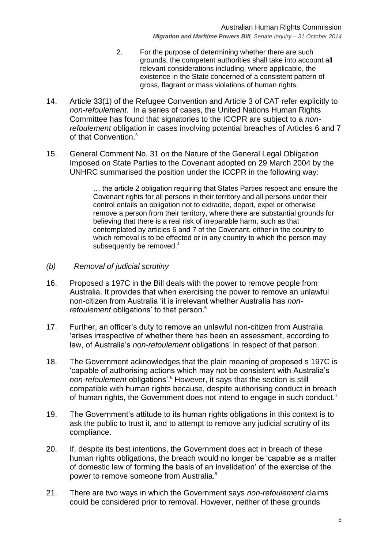*Migration and Maritime Powers Bill, Senate Inquiry – 31 October 2014*

- 2. For the purpose of determining whether there are such grounds, the competent authorities shall take into account all relevant considerations including, where applicable, the existence in the State concerned of a consistent pattern of gross, flagrant or mass violations of human rights.
- 14. Article 33(1) of the Refugee Convention and Article 3 of CAT refer explicitly to *non-refoulement*. In a series of cases, the United Nations Human Rights Committee has found that signatories to the ICCPR are subject to a *nonrefoulement* obligation in cases involving potential breaches of Articles 6 and 7 of that Convention. 3
- 15. General Comment No. 31 on the Nature of the General Legal Obligation Imposed on State Parties to the Covenant adopted on 29 March 2004 by the UNHRC summarised the position under the ICCPR in the following way:

… the article 2 obligation requiring that States Parties respect and ensure the Covenant rights for all persons in their territory and all persons under their control entails an obligation not to extradite, deport, expel or otherwise remove a person from their territory, where there are substantial grounds for believing that there is a real risk of irreparable harm, such as that contemplated by articles 6 and 7 of the Covenant, either in the country to which removal is to be effected or in any country to which the person may subsequently be removed. $4$ 

- <span id="page-7-0"></span>*(b) Removal of judicial scrutiny*
- 16. Proposed s 197C in the Bill deals with the power to remove people from Australia. It provides that when exercising the power to remove an unlawful non-citizen from Australia ‗it is irrelevant whether Australia has *nonrefoulement* obligations' to that person.<sup>5</sup>
- 17. Further, an officer's duty to remove an unlawful non-citizen from Australia 'arises irrespective of whether there has been an assessment, according to law, of Australia's *non-refoulement* obligations' in respect of that person.
- 18. The Government acknowledges that the plain meaning of proposed s 197C is ‗capable of authorising actions which may not be consistent with Australia's *non-refoulement* obligations'.<sup>6</sup> However, it says that the section is still compatible with human rights because, despite authorising conduct in breach of human rights, the Government does not intend to engage in such conduct.<sup>7</sup>
- 19. The Government's attitude to its human rights obligations in this context is to ask the public to trust it, and to attempt to remove any judicial scrutiny of its compliance.
- 20. If, despite its best intentions, the Government does act in breach of these human rights obligations, the breach would no longer be 'capable as a matter of domestic law of forming the basis of an invalidation' of the exercise of the power to remove someone from Australia.<sup>8</sup>
- 21. There are two ways in which the Government says *non-refoulement* claims could be considered prior to removal. However, neither of these grounds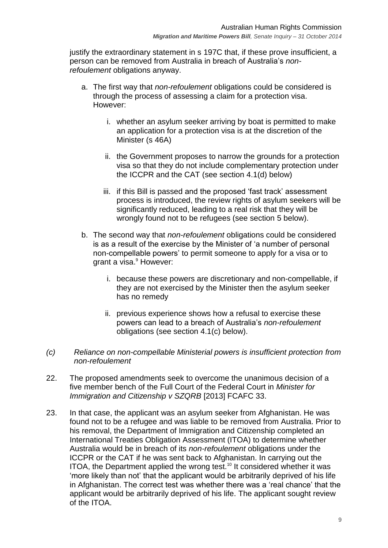justify the extraordinary statement in s 197C that, if these prove insufficient, a person can be removed from Australia in breach of Australia's *nonrefoulement* obligations anyway.

- a. The first way that *non-refoulement* obligations could be considered is through the process of assessing a claim for a protection visa. However:
	- i. whether an asylum seeker arriving by boat is permitted to make an application for a protection visa is at the discretion of the Minister (s 46A)
	- ii. the Government proposes to narrow the grounds for a protection visa so that they do not include complementary protection under the ICCPR and the CAT (see section [4.1\(d\)](#page-9-0) below)
	- iii. if this Bill is passed and the proposed 'fast track' assessment process is introduced, the review rights of asylum seekers will be significantly reduced, leading to a real risk that they will be wrongly found not to be refugees (see section [5](#page-17-0) below).
- b. The second way that *non-refoulement* obligations could be considered is as a result of the exercise by the Minister of ‗a number of personal non-compellable powers' to permit someone to apply for a visa or to grant a visa. <sup>9</sup> However:
	- i. because these powers are discretionary and non-compellable, if they are not exercised by the Minister then the asylum seeker has no remedy
	- ii. previous experience shows how a refusal to exercise these powers can lead to a breach of Australia's *non-refoulement* obligations (see section [4.1\(c\)](#page-8-0) below).
- <span id="page-8-0"></span>*(c) Reliance on non-compellable Ministerial powers is insufficient protection from non-refoulement*
- 22. The proposed amendments seek to overcome the unanimous decision of a five member bench of the Full Court of the Federal Court in *Minister for Immigration and Citizenship v SZQRB* [2013] FCAFC 33.
- 23. In that case, the applicant was an asylum seeker from Afghanistan. He was found not to be a refugee and was liable to be removed from Australia. Prior to his removal, the Department of Immigration and Citizenship completed an International Treaties Obligation Assessment (ITOA) to determine whether Australia would be in breach of its *non-refoulement* obligations under the ICCPR or the CAT if he was sent back to Afghanistan. In carrying out the ITOA, the Department applied the wrong test.<sup>10</sup> It considered whether it was ‗more likely than not' that the applicant would be arbitrarily deprived of his life in Afghanistan. The correct test was whether there was a 'real chance' that the applicant would be arbitrarily deprived of his life. The applicant sought review of the ITOA.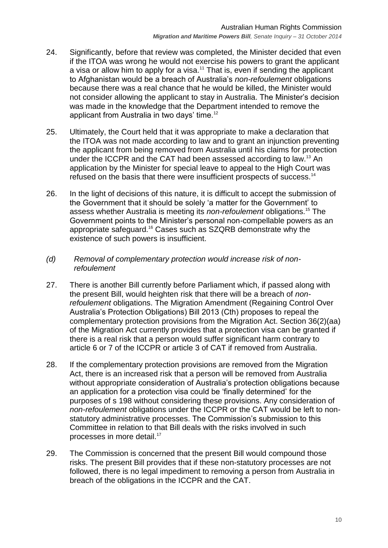- 24. Significantly, before that review was completed, the Minister decided that even if the ITOA was wrong he would not exercise his powers to grant the applicant a visa or allow him to apply for a visa.<sup>11</sup> That is, even if sending the applicant to Afghanistan would be a breach of Australia's *non-refoulement* obligations because there was a real chance that he would be killed, the Minister would not consider allowing the applicant to stay in Australia. The Minister's decision was made in the knowledge that the Department intended to remove the applicant from Australia in two days' time.<sup>12</sup>
- 25. Ultimately, the Court held that it was appropriate to make a declaration that the ITOA was not made according to law and to grant an injunction preventing the applicant from being removed from Australia until his claims for protection under the ICCPR and the CAT had been assessed according to law.<sup>13</sup> An application by the Minister for special leave to appeal to the High Court was refused on the basis that there were insufficient prospects of success.<sup>14</sup>
- 26. In the light of decisions of this nature, it is difficult to accept the submission of the Government that it should be solely 'a matter for the Government' to assess whether Australia is meeting its *non-refoulement* obligations.<sup>15</sup> The Government points to the Minister's personal non-compellable powers as an appropriate safeguard.<sup>16</sup> Cases such as SZQRB demonstrate why the existence of such powers is insufficient.
- <span id="page-9-0"></span>*(d) Removal of complementary protection would increase risk of nonrefoulement*
- 27. There is another Bill currently before Parliament which, if passed along with the present Bill, would heighten risk that there will be a breach of *nonrefoulement* obligations. The Migration Amendment (Regaining Control Over Australia's Protection Obligations) Bill 2013 (Cth) proposes to repeal the complementary protection provisions from the Migration Act. Section 36(2)(aa) of the Migration Act currently provides that a protection visa can be granted if there is a real risk that a person would suffer significant harm contrary to article 6 or 7 of the ICCPR or article 3 of CAT if removed from Australia.
- 28. If the complementary protection provisions are removed from the Migration Act, there is an increased risk that a person will be removed from Australia without appropriate consideration of Australia's protection obligations because an application for a protection visa could be 'finally determined' for the purposes of s 198 without considering these provisions. Any consideration of *non-refoulement* obligations under the ICCPR or the CAT would be left to nonstatutory administrative processes. The Commission's submission to this Committee in relation to that Bill deals with the risks involved in such processes in more detail.<sup>17</sup>
- 29. The Commission is concerned that the present Bill would compound those risks. The present Bill provides that if these non-statutory processes are not followed, there is no legal impediment to removing a person from Australia in breach of the obligations in the ICCPR and the CAT.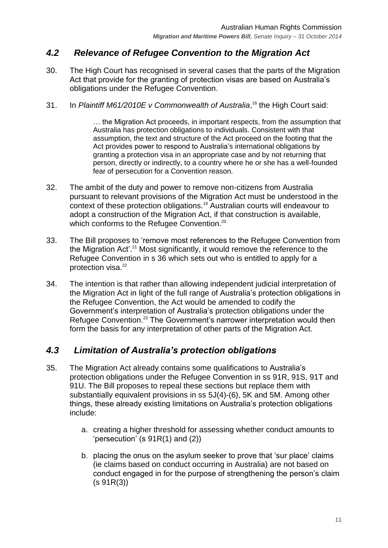## <span id="page-10-0"></span>*4.2 Relevance of Refugee Convention to the Migration Act*

- 30. The High Court has recognised in several cases that the parts of the Migration Act that provide for the granting of protection visas are based on Australia's obligations under the Refugee Convention.
- 31. In Plaintiff M61/2010E v Commonwealth of Australia,<sup>18</sup> the High Court said:

… the Migration Act proceeds, in important respects, from the assumption that Australia has protection obligations to individuals. Consistent with that assumption, the text and structure of the Act proceed on the footing that the Act provides power to respond to Australia's international obligations by granting a protection visa in an appropriate case and by not returning that person, directly or indirectly, to a country where he or she has a well-founded fear of persecution for a Convention reason.

- 32. The ambit of the duty and power to remove non-citizens from Australia pursuant to relevant provisions of the Migration Act must be understood in the context of these protection obligations.<sup>19</sup> Australian courts will endeavour to adopt a construction of the Migration Act, if that construction is available, which conforms to the Refugee Convention.<sup>20</sup>
- 33. The Bill proposes to 'remove most references to the Refugee Convention from the Migration Act'.<sup>21</sup> Most significantly, it would remove the reference to the Refugee Convention in s 36 which sets out who is entitled to apply for a protection visa.<sup>22</sup>
- 34. The intention is that rather than allowing independent judicial interpretation of the Migration Act in light of the full range of Australia's protection obligations in the Refugee Convention, the Act would be amended to codify the Government's interpretation of Australia's protection obligations under the Refugee Convention.<sup>23</sup> The Government's narrower interpretation would then form the basis for any interpretation of other parts of the Migration Act.

## <span id="page-10-1"></span>*4.3 Limitation of Australia's protection obligations*

- 35. The Migration Act already contains some qualifications to Australia's protection obligations under the Refugee Convention in ss 91R, 91S, 91T and 91U. The Bill proposes to repeal these sections but replace them with substantially equivalent provisions in ss 5J(4)-(6), 5K and 5M. Among other things, these already existing limitations on Australia's protection obligations include:
	- a. creating a higher threshold for assessing whether conduct amounts to 'persecution' (s  $91R(1)$  and  $(2)$ )
	- b. placing the onus on the asylum seeker to prove that 'sur place' claims (ie claims based on conduct occurring in Australia) are not based on conduct engaged in for the purpose of strengthening the person's claim (s 91R(3))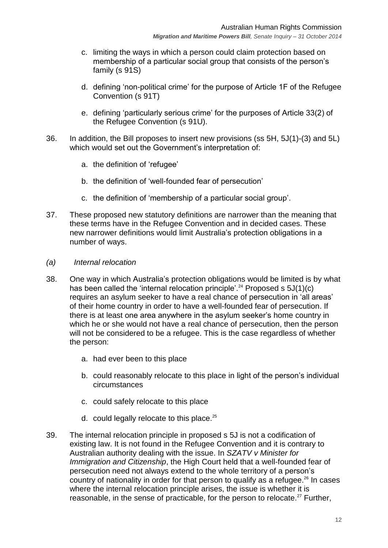- c. limiting the ways in which a person could claim protection based on membership of a particular social group that consists of the person's family (s 91S)
- d. defining 'non-political crime' for the purpose of Article 1F of the Refugee Convention (s 91T)
- e. defining 'particularly serious crime' for the purposes of Article 33(2) of the Refugee Convention (s 91U).
- 36. In addition, the Bill proposes to insert new provisions (ss 5H, 5J(1)-(3) and 5L) which would set out the Government's interpretation of:
	- a. the definition of 'refugee'
	- b. the definition of 'well-founded fear of persecution'
	- c. the definition of 'membership of a particular social group'.
- 37. These proposed new statutory definitions are narrower than the meaning that these terms have in the Refugee Convention and in decided cases. These new narrower definitions would limit Australia's protection obligations in a number of ways.
- <span id="page-11-0"></span>*(a) Internal relocation*
- 38. One way in which Australia's protection obligations would be limited is by what has been called the 'internal relocation principle'.<sup>24</sup> Proposed s  $5J(1)(c)$ requires an asylum seeker to have a real chance of persecution in 'all areas' of their home country in order to have a well-founded fear of persecution. If there is at least one area anywhere in the asylum seeker's home country in which he or she would not have a real chance of persecution, then the person will not be considered to be a refugee. This is the case regardless of whether the person:
	- a. had ever been to this place
	- b. could reasonably relocate to this place in light of the person's individual circumstances
	- c. could safely relocate to this place
	- d. could legally relocate to this place.<sup>25</sup>
- 39. The internal relocation principle in proposed s 5J is not a codification of existing law. It is not found in the Refugee Convention and it is contrary to Australian authority dealing with the issue. In *SZATV v Minister for Immigration and Citizenship*, the High Court held that a well-founded fear of persecution need not always extend to the whole territory of a person's country of nationality in order for that person to qualify as a refugee.<sup>26</sup> In cases where the internal relocation principle arises, the issue is whether it is reasonable, in the sense of practicable, for the person to relocate.<sup>27</sup> Further,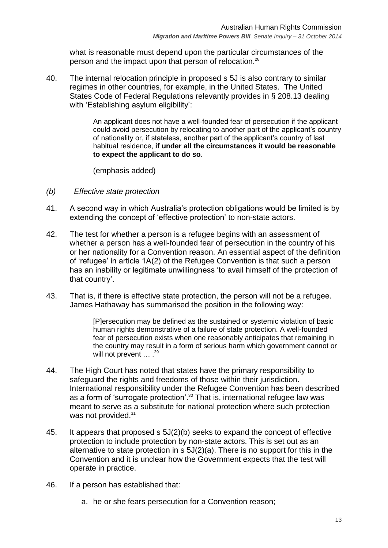what is reasonable must depend upon the particular circumstances of the person and the impact upon that person of relocation.<sup>28</sup>

40. The internal relocation principle in proposed s 5J is also contrary to similar regimes in other countries, for example, in the United States. The United States Code of Federal Regulations relevantly provides in § 208.13 dealing with 'Establishing asylum eligibility':

> An applicant does not have a well-founded fear of persecution if the applicant could avoid persecution by relocating to another part of the applicant's country of nationality or, if stateless, another part of the applicant's country of last habitual residence, **if under all the circumstances it would be reasonable to expect the applicant to do so**.

(emphasis added)

- <span id="page-12-0"></span>*(b) Effective state protection*
- 41. A second way in which Australia's protection obligations would be limited is by extending the concept of 'effective protection' to non-state actors.
- 42. The test for whether a person is a refugee begins with an assessment of whether a person has a well-founded fear of persecution in the country of his or her nationality for a Convention reason. An essential aspect of the definition of 'refugee' in article 1A(2) of the Refugee Convention is that such a person has an inability or legitimate unwillingness 'to avail himself of the protection of that country'.
- 43. That is, if there is effective state protection, the person will not be a refugee. James Hathaway has summarised the position in the following way:

[P]ersecution may be defined as the sustained or systemic violation of basic human rights demonstrative of a failure of state protection. A well-founded fear of persecution exists when one reasonably anticipates that remaining in the country may result in a form of serious harm which government cannot or will not prevent  $\ldots$  .  $^{29}$ 

- 44. The High Court has noted that states have the primary responsibility to safeguard the rights and freedoms of those within their jurisdiction. International responsibility under the Refugee Convention has been described as a form of 'surrogate protection'.<sup>30</sup> That is, international refugee law was meant to serve as a substitute for national protection where such protection was not provided.<sup>31</sup>
- 45. It appears that proposed s 5J(2)(b) seeks to expand the concept of effective protection to include protection by non-state actors. This is set out as an alternative to state protection in s 5J(2)(a). There is no support for this in the Convention and it is unclear how the Government expects that the test will operate in practice.
- 46. If a person has established that:
	- a. he or she fears persecution for a Convention reason;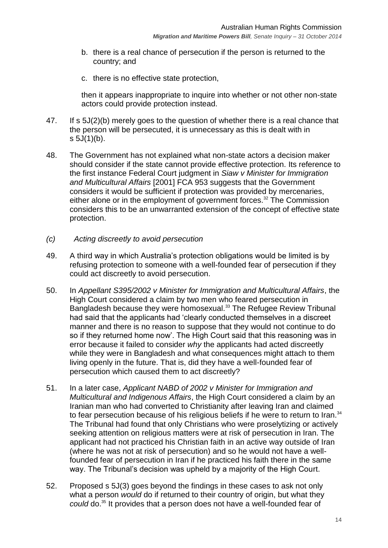- b. there is a real chance of persecution if the person is returned to the country; and
- c. there is no effective state protection,

then it appears inappropriate to inquire into whether or not other non-state actors could provide protection instead.

- 47. If s 5J(2)(b) merely goes to the question of whether there is a real chance that the person will be persecuted, it is unnecessary as this is dealt with in  $s 5J(1)(b)$ .
- 48. The Government has not explained what non-state actors a decision maker should consider if the state cannot provide effective protection. Its reference to the first instance Federal Court judgment in *Siaw v Minister for Immigration and Multicultural Affairs* [2001] FCA 953 suggests that the Government considers it would be sufficient if protection was provided by mercenaries, either alone or in the employment of government forces.<sup>32</sup> The Commission considers this to be an unwarranted extension of the concept of effective state protection.
- <span id="page-13-0"></span>*(c) Acting discreetly to avoid persecution*
- 49. A third way in which Australia's protection obligations would be limited is by refusing protection to someone with a well-founded fear of persecution if they could act discreetly to avoid persecution.
- 50. In *Appellant S395/2002 v Minister for Immigration and Multicultural Affairs*, the High Court considered a claim by two men who feared persecution in Bangladesh because they were homosexual.<sup>33</sup> The Refugee Review Tribunal had said that the applicants had 'clearly conducted themselves in a discreet manner and there is no reason to suppose that they would not continue to do so if they returned home now'. The High Court said that this reasoning was in error because it failed to consider *why* the applicants had acted discreetly while they were in Bangladesh and what consequences might attach to them living openly in the future. That is, did they have a well-founded fear of persecution which caused them to act discreetly?
- 51. In a later case, *Applicant NABD of 2002 v Minister for Immigration and Multicultural and Indigenous Affairs*, the High Court considered a claim by an Iranian man who had converted to Christianity after leaving Iran and claimed to fear persecution because of his religious beliefs if he were to return to Iran.<sup>34</sup> The Tribunal had found that only Christians who were proselytizing or actively seeking attention on religious matters were at risk of persecution in Iran. The applicant had not practiced his Christian faith in an active way outside of Iran (where he was not at risk of persecution) and so he would not have a wellfounded fear of persecution in Iran if he practiced his faith there in the same way. The Tribunal's decision was upheld by a majority of the High Court.
- 52. Proposed s 5J(3) goes beyond the findings in these cases to ask not only what a person *would* do if returned to their country of origin, but what they *could* do.<sup>35</sup> It provides that a person does not have a well-founded fear of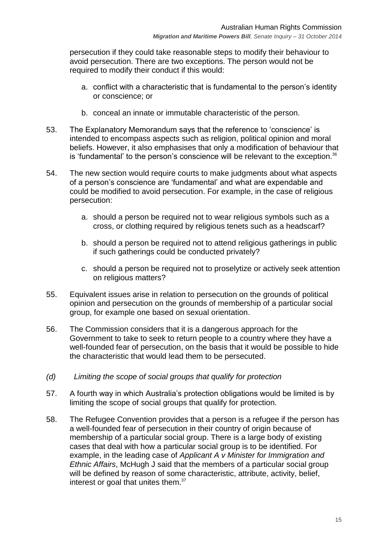persecution if they could take reasonable steps to modify their behaviour to avoid persecution. There are two exceptions. The person would not be required to modify their conduct if this would:

- a. conflict with a characteristic that is fundamental to the person's identity or conscience; or
- b. conceal an innate or immutable characteristic of the person.
- 53. The Explanatory Memorandum says that the reference to 'conscience' is intended to encompass aspects such as religion, political opinion and moral beliefs. However, it also emphasises that only a modification of behaviour that is 'fundamental' to the person's conscience will be relevant to the exception. $36$
- 54. The new section would require courts to make judgments about what aspects of a person's conscience are 'fundamental' and what are expendable and could be modified to avoid persecution. For example, in the case of religious persecution:
	- a. should a person be required not to wear religious symbols such as a cross, or clothing required by religious tenets such as a headscarf?
	- b. should a person be required not to attend religious gatherings in public if such gatherings could be conducted privately?
	- c. should a person be required not to proselytize or actively seek attention on religious matters?
- 55. Equivalent issues arise in relation to persecution on the grounds of political opinion and persecution on the grounds of membership of a particular social group, for example one based on sexual orientation.
- 56. The Commission considers that it is a dangerous approach for the Government to take to seek to return people to a country where they have a well-founded fear of persecution, on the basis that it would be possible to hide the characteristic that would lead them to be persecuted.
- <span id="page-14-0"></span>*(d) Limiting the scope of social groups that qualify for protection*
- 57. A fourth way in which Australia's protection obligations would be limited is by limiting the scope of social groups that qualify for protection.
- 58. The Refugee Convention provides that a person is a refugee if the person has a well-founded fear of persecution in their country of origin because of membership of a particular social group. There is a large body of existing cases that deal with how a particular social group is to be identified. For example, in the leading case of *Applicant A v Minister for Immigration and Ethnic Affairs*, McHugh J said that the members of a particular social group will be defined by reason of some characteristic, attribute, activity, belief, interest or goal that unites them.<sup>37</sup>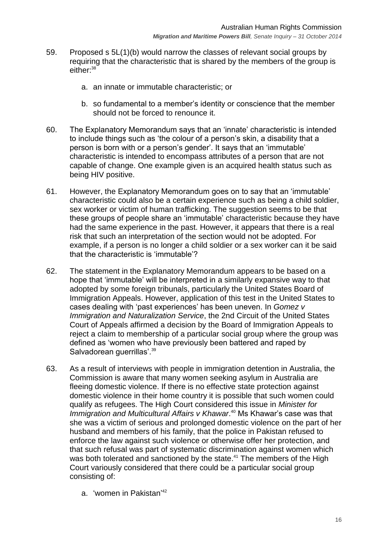- 59. Proposed s 5L(1)(b) would narrow the classes of relevant social groups by requiring that the characteristic that is shared by the members of the group is either:<sup>38</sup>
	- a. an innate or immutable characteristic; or
	- b. so fundamental to a member's identity or conscience that the member should not be forced to renounce it.
- 60. The Explanatory Memorandum says that an ‗innate' characteristic is intended to include things such as 'the colour of a person's skin, a disability that a person is born with or a person's gender'. It says that an 'immutable' characteristic is intended to encompass attributes of a person that are not capable of change. One example given is an acquired health status such as being HIV positive.
- 61. However, the Explanatory Memorandum goes on to say that an 'immutable' characteristic could also be a certain experience such as being a child soldier, sex worker or victim of human trafficking. The suggestion seems to be that these groups of people share an 'immutable' characteristic because they have had the same experience in the past. However, it appears that there is a real risk that such an interpretation of the section would not be adopted. For example, if a person is no longer a child soldier or a sex worker can it be said that the characteristic is 'immutable'?
- 62. The statement in the Explanatory Memorandum appears to be based on a hope that 'immutable' will be interpreted in a similarly expansive way to that adopted by some foreign tribunals, particularly the United States Board of Immigration Appeals. However, application of this test in the United States to cases dealing with 'past experiences' has been uneven. In *Gomez v Immigration and Naturalization Service*, the 2nd Circuit of the United States Court of Appeals affirmed a decision by the Board of Immigration Appeals to reiect a claim to membership of a particular social group where the group was defined as 'women who have previously been battered and raped by Salvadorean guerrillas'.<sup>39</sup>
- 63. As a result of interviews with people in immigration detention in Australia, the Commission is aware that many women seeking asylum in Australia are fleeing domestic violence. If there is no effective state protection against domestic violence in their home country it is possible that such women could qualify as refugees. The High Court considered this issue in *Minister for*  Immigration and Multicultural Affairs v Khawar.<sup>40</sup> Ms Khawar's case was that she was a victim of serious and prolonged domestic violence on the part of her husband and members of his family, that the police in Pakistan refused to enforce the law against such violence or otherwise offer her protection, and that such refusal was part of systematic discrimination against women which was both tolerated and sanctioned by the state.<sup>41</sup> The members of the High Court variously considered that there could be a particular social group consisting of:
	- a. 'women in Pakistan'<sup>42</sup>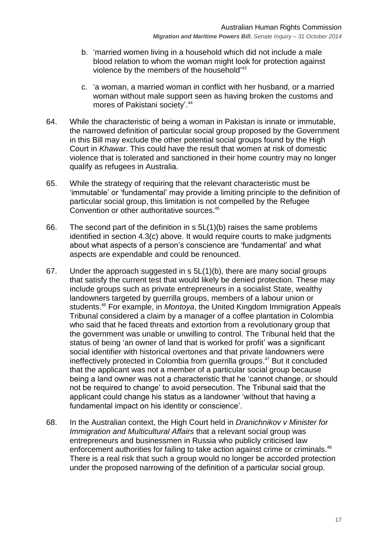- b. ‗married women living in a household which did not include a male blood relation to whom the woman might look for protection against violence by the members of the household<sup>'43</sup>
- c. ‗a woman, a married woman in conflict with her husband, or a married woman without male support seen as having broken the customs and mores of Pakistani society'. 44
- 64. While the characteristic of being a woman in Pakistan is innate or immutable, the narrowed definition of particular social group proposed by the Government in this Bill may exclude the other potential social groups found by the High Court in *Khawar*. This could have the result that women at risk of domestic violence that is tolerated and sanctioned in their home country may no longer qualify as refugees in Australia.
- 65. While the strategy of requiring that the relevant characteristic must be ‗immutable' or ‗fundamental' may provide a limiting principle to the definition of particular social group, this limitation is not compelled by the Refugee Convention or other authoritative sources.<sup>45</sup>
- 66. The second part of the definition in  $s$  5L(1)(b) raises the same problems identified in section [4.3\(c\)](#page-13-0) above. It would require courts to make judgments about what aspects of a person's conscience are 'fundamental' and what aspects are expendable and could be renounced.
- 67. Under the approach suggested in s 5L(1)(b), there are many social groups that satisfy the current test that would likely be denied protection. These may include groups such as private entrepreneurs in a socialist State, wealthy landowners targeted by guerrilla groups, members of a labour union or students. <sup>46</sup> For example, in *Montoya*, the United Kingdom Immigration Appeals Tribunal considered a claim by a manager of a coffee plantation in Colombia who said that he faced threats and extortion from a revolutionary group that the government was unable or unwilling to control. The Tribunal held that the status of being 'an owner of land that is worked for profit' was a significant social identifier with historical overtones and that private landowners were ineffectively protected in Colombia from guerrilla groups. <sup>47</sup> But it concluded that the applicant was not a member of a particular social group because being a land owner was not a characteristic that he 'cannot change, or should not be required to change' to avoid persecution. The Tribunal said that the applicant could change his status as a landowner 'without that having a fundamental impact on his identity or conscience'.
- 68. In the Australian context, the High Court held in *Dranichnikov v Minister for Immigration and Multicultural Affairs* that a relevant social group was entrepreneurs and businessmen in Russia who publicly criticised law enforcement authorities for failing to take action against crime or criminals.<sup>48</sup> There is a real risk that such a group would no longer be accorded protection under the proposed narrowing of the definition of a particular social group.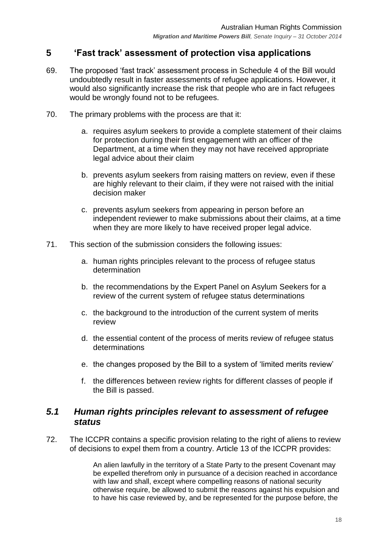## <span id="page-17-0"></span>**5 'Fast track' assessment of protection visa applications**

- 69. The proposed ‗fast track' assessment process in Schedule 4 of the Bill would undoubtedly result in faster assessments of refugee applications. However, it would also significantly increase the risk that people who are in fact refugees would be wrongly found not to be refugees.
- 70. The primary problems with the process are that it:
	- a. requires asylum seekers to provide a complete statement of their claims for protection during their first engagement with an officer of the Department, at a time when they may not have received appropriate legal advice about their claim
	- b. prevents asylum seekers from raising matters on review, even if these are highly relevant to their claim, if they were not raised with the initial decision maker
	- c. prevents asylum seekers from appearing in person before an independent reviewer to make submissions about their claims, at a time when they are more likely to have received proper legal advice.
- 71. This section of the submission considers the following issues:
	- a. human rights principles relevant to the process of refugee status determination
	- b. the recommendations by the Expert Panel on Asylum Seekers for a review of the current system of refugee status determinations
	- c. the background to the introduction of the current system of merits review
	- d. the essential content of the process of merits review of refugee status determinations
	- e. the changes proposed by the Bill to a system of 'limited merits review'
	- f. the differences between review rights for different classes of people if the Bill is passed.

#### <span id="page-17-1"></span>*5.1 Human rights principles relevant to assessment of refugee status*

72. The ICCPR contains a specific provision relating to the right of aliens to review of decisions to expel them from a country. Article 13 of the ICCPR provides:

> An alien lawfully in the territory of a State Party to the present Covenant may be expelled therefrom only in pursuance of a decision reached in accordance with law and shall, except where compelling reasons of national security otherwise require, be allowed to submit the reasons against his expulsion and to have his case reviewed by, and be represented for the purpose before, the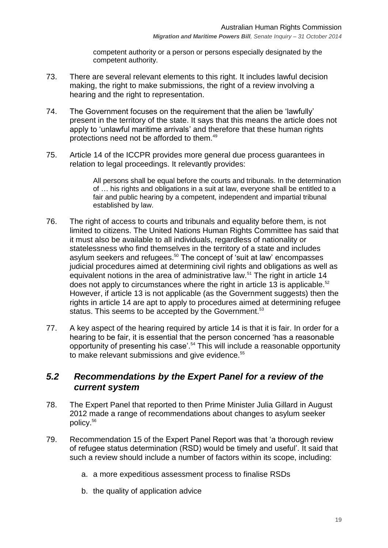competent authority or a person or persons especially designated by the competent authority.

- 73. There are several relevant elements to this right. It includes lawful decision making, the right to make submissions, the right of a review involving a hearing and the right to representation.
- 74. The Government focuses on the requirement that the alien be 'lawfully' present in the territory of the state. It says that this means the article does not apply to 'unlawful maritime arrivals' and therefore that these human rights protections need not be afforded to them.<sup>49</sup>
- 75. Article 14 of the ICCPR provides more general due process guarantees in relation to legal proceedings. It relevantly provides:

All persons shall be equal before the courts and tribunals. In the determination of … his rights and obligations in a suit at law, everyone shall be entitled to a fair and public hearing by a competent, independent and impartial tribunal established by law.

- 76. The right of access to courts and tribunals and equality before them, is not limited to citizens. The United Nations Human Rights Committee has said that it must also be available to all individuals, regardless of nationality or statelessness who find themselves in the territory of a state and includes asylum seekers and refugees.<sup>50</sup> The concept of 'suit at law' encompasses judicial procedures aimed at determining civil rights and obligations as well as equivalent notions in the area of administrative law.<sup>51</sup> The right in article 14 does not apply to circumstances where the right in article 13 is applicable.<sup>52</sup> However, if article 13 is not applicable (as the Government suggests) then the rights in article 14 are apt to apply to procedures aimed at determining refugee status. This seems to be accepted by the Government.<sup>53</sup>
- 77. A key aspect of the hearing required by article 14 is that it is fair. In order for a hearing to be fair, it is essential that the person concerned 'has a reasonable opportunity of presenting his case'.<sup>54</sup> This will include a reasonable opportunity to make relevant submissions and give evidence.<sup>55</sup>

## <span id="page-18-0"></span>*5.2 Recommendations by the Expert Panel for a review of the current system*

- 78. The Expert Panel that reported to then Prime Minister Julia Gillard in August 2012 made a range of recommendations about changes to asylum seeker policy.<sup>56</sup>
- <span id="page-18-1"></span>79. Recommendation 15 of the Expert Panel Report was that 'a thorough review of refugee status determination (RSD) would be timely and useful'. It said that such a review should include a number of factors within its scope, including:
	- a. a more expeditious assessment process to finalise RSDs
	- b. the quality of application advice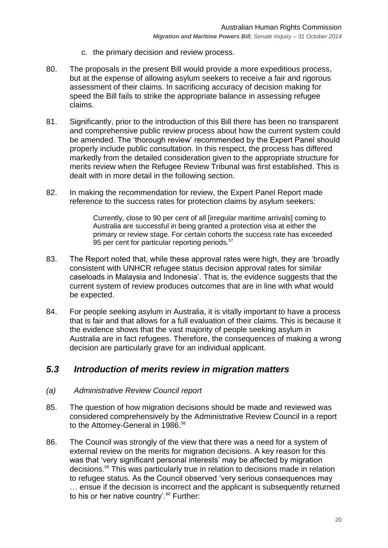- c. the primary decision and review process.
- 80. The proposals in the present Bill would provide a more expeditious process, but at the expense of allowing asylum seekers to receive a fair and rigorous assessment of their claims. In sacrificing accuracy of decision making for speed the Bill fails to strike the appropriate balance in assessing refugee claims.
- 81. Significantly, prior to the introduction of this Bill there has been no transparent and comprehensive public review process about how the current system could be amended. The 'thorough review' recommended by the Expert Panel should properly include public consultation. In this respect, the process has differed markedly from the detailed consideration given to the appropriate structure for merits review when the Refugee Review Tribunal was first established. This is dealt with in more detail in the following section.
- 82. In making the recommendation for review, the Expert Panel Report made reference to the success rates for protection claims by asylum seekers:

Currently, close to 90 per cent of all [irregular maritime arrivals] coming to Australia are successful in being granted a protection visa at either the primary or review stage. For certain cohorts the success rate has exceeded 95 per cent for particular reporting periods.<sup>57</sup>

- 83. The Report noted that, while these approval rates were high, they are 'broadly consistent with UNHCR refugee status decision approval rates for similar caseloads in Malaysia and Indonesia'. That is, the evidence suggests that the current system of review produces outcomes that are in line with what would be expected.
- 84. For people seeking asylum in Australia, it is vitally important to have a process that is fair and that allows for a full evaluation of their claims. This is because it the evidence shows that the vast majority of people seeking asylum in Australia are in fact refugees. Therefore, the consequences of making a wrong decision are particularly grave for an individual applicant.

## <span id="page-19-0"></span>*5.3 Introduction of merits review in migration matters*

#### <span id="page-19-1"></span>*(a) Administrative Review Council report*

- 85. The question of how migration decisions should be made and reviewed was considered comprehensively by the Administrative Review Council in a report to the Attorney-General in 1986.<sup>58</sup>
- 86. The Council was strongly of the view that there was a need for a system of external review on the merits for migration decisions. A key reason for this was that 'very significant personal interests' may be affected by migration decisions.<sup>59</sup> This was particularly true in relation to decisions made in relation to refugee status. As the Council observed 'very serious consequences may … ensue if the decision is incorrect and the applicant is subsequently returned to his or her native country'.<sup>60</sup> Further: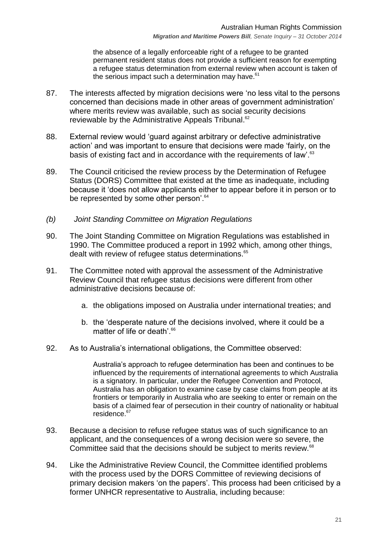the absence of a legally enforceable right of a refugee to be granted permanent resident status does not provide a sufficient reason for exempting a refugee status determination from external review when account is taken of the serious impact such a determination may have.<sup>61</sup>

- 87. The interests affected by migration decisions were 'no less vital to the persons concerned than decisions made in other areas of government administration' where merits review was available, such as social security decisions reviewable by the Administrative Appeals Tribunal.<sup>62</sup>
- 88. External review would 'quard against arbitrary or defective administrative action' and was important to ensure that decisions were made 'fairly, on the basis of existing fact and in accordance with the requirements of law<sup>'.63</sup>
- 89. The Council criticised the review process by the Determination of Refugee Status (DORS) Committee that existed at the time as inadequate, including because it ‗does not allow applicants either to appear before it in person or to be represented by some other person<sup>'.64</sup>
- <span id="page-20-0"></span>*(b) Joint Standing Committee on Migration Regulations*
- 90. The Joint Standing Committee on Migration Regulations was established in 1990. The Committee produced a report in 1992 which, among other things, dealt with review of refugee status determinations. 65
- 91. The Committee noted with approval the assessment of the Administrative Review Council that refugee status decisions were different from other administrative decisions because of:
	- a. the obligations imposed on Australia under international treaties; and
	- b. the 'desperate nature of the decisions involved, where it could be a matter of life or death'.<sup>66</sup>
- 92. As to Australia's international obligations, the Committee observed:

Australia's approach to refugee determination has been and continues to be influenced by the requirements of international agreements to which Australia is a signatory. In particular, under the Refugee Convention and Protocol, Australia has an obligation to examine case by case claims from people at its frontiers or temporarily in Australia who are seeking to enter or remain on the basis of a claimed fear of persecution in their country of nationality or habitual residence.<sup>67</sup>

- 93. Because a decision to refuse refugee status was of such significance to an applicant, and the consequences of a wrong decision were so severe, the Committee said that the decisions should be subject to merits review.<sup>68</sup>
- 94. Like the Administrative Review Council, the Committee identified problems with the process used by the DORS Committee of reviewing decisions of primary decision makers 'on the papers'. This process had been criticised by a former UNHCR representative to Australia, including because: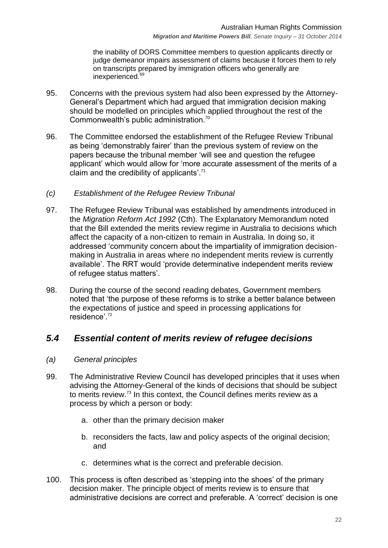the inability of DORS Committee members to question applicants directly or judge demeanor impairs assessment of claims because it forces them to rely on transcripts prepared by immigration officers who generally are inexperienced.<sup>69</sup>

- 95. Concerns with the previous system had also been expressed by the Attorney-General's Department which had argued that immigration decision making should be modelled on principles which applied throughout the rest of the Commonwealth's public administration.<sup>70</sup>
- 96. The Committee endorsed the establishment of the Refugee Review Tribunal as being 'demonstrably fairer' than the previous system of review on the papers because the tribunal member 'will see and question the refugee applicant' which would allow for 'more accurate assessment of the merits of a claim and the credibility of applicants'. $71$
- <span id="page-21-0"></span>*(c) Establishment of the Refugee Review Tribunal*
- 97. The Refugee Review Tribunal was established by amendments introduced in the *Migration Reform Act 1992* (Cth). The Explanatory Memorandum noted that the Bill extended the merits review regime in Australia to decisions which affect the capacity of a non-citizen to remain in Australia. In doing so, it addressed 'community concern about the impartiality of immigration decisionmaking in Australia in areas where no independent merits review is currently available'. The RRT would 'provide determinative independent merits review of refugee status matters'.
- 98. During the course of the second reading debates, Government members noted that 'the purpose of these reforms is to strike a better balance between the expectations of justice and speed in processing applications for residence'.<sup>72</sup>

# <span id="page-21-1"></span>*5.4 Essential content of merits review of refugee decisions*

- <span id="page-21-2"></span>*(a) General principles*
- 99. The Administrative Review Council has developed principles that it uses when advising the Attorney-General of the kinds of decisions that should be subject to merits review.<sup>73</sup> In this context, the Council defines merits review as a process by which a person or body:
	- a. other than the primary decision maker
	- b. reconsiders the facts, law and policy aspects of the original decision; and
	- c. determines what is the correct and preferable decision.
- 100. This process is often described as 'stepping into the shoes' of the primary decision maker. The principle object of merits review is to ensure that administrative decisions are correct and preferable. A 'correct' decision is one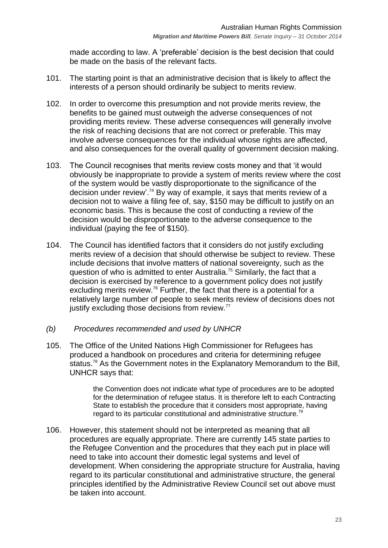made according to law. A 'preferable' decision is the best decision that could be made on the basis of the relevant facts.

- 101. The starting point is that an administrative decision that is likely to affect the interests of a person should ordinarily be subject to merits review.
- 102. In order to overcome this presumption and not provide merits review, the benefits to be gained must outweigh the adverse consequences of not providing merits review. These adverse consequences will generally involve the risk of reaching decisions that are not correct or preferable. This may involve adverse consequences for the individual whose rights are affected, and also consequences for the overall quality of government decision making.
- 103. The Council recognises that merits review costs money and that ‗it would obviously be inappropriate to provide a system of merits review where the cost of the system would be vastly disproportionate to the significance of the decision under review'. <sup>74</sup> By way of example, it says that merits review of a decision not to waive a filing fee of, say, \$150 may be difficult to justify on an economic basis. This is because the cost of conducting a review of the decision would be disproportionate to the adverse consequence to the individual (paying the fee of \$150).
- 104. The Council has identified factors that it considers do not justify excluding merits review of a decision that should otherwise be subject to review. These include decisions that involve matters of national sovereignty, such as the question of who is admitted to enter Australia.<sup>75</sup> Similarly, the fact that a decision is exercised by reference to a government policy does not justify excluding merits review.<sup>76</sup> Further, the fact that there is a potential for a relatively large number of people to seek merits review of decisions does not justify excluding those decisions from review.<sup>77</sup>
- <span id="page-22-0"></span>*(b) Procedures recommended and used by UNHCR*
- 105. The Office of the United Nations High Commissioner for Refugees has produced a handbook on procedures and criteria for determining refugee status.<sup>78</sup> As the Government notes in the Explanatory Memorandum to the Bill, UNHCR says that:

the Convention does not indicate what type of procedures are to be adopted for the determination of refugee status. It is therefore left to each Contracting State to establish the procedure that it considers most appropriate, having regard to its particular constitutional and administrative structure.<sup>79</sup>

106. However, this statement should not be interpreted as meaning that all procedures are equally appropriate. There are currently 145 state parties to the Refugee Convention and the procedures that they each put in place will need to take into account their domestic legal systems and level of development. When considering the appropriate structure for Australia, having regard to its particular constitutional and administrative structure, the general principles identified by the Administrative Review Council set out above must be taken into account.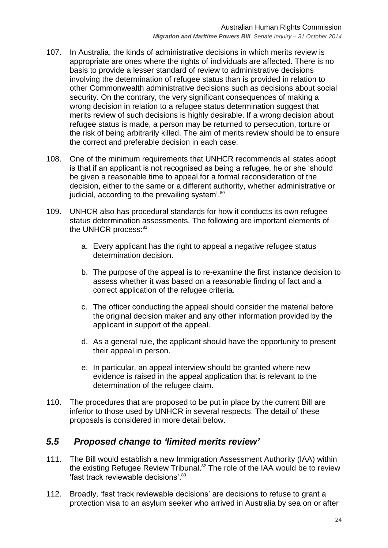- 107. In Australia, the kinds of administrative decisions in which merits review is appropriate are ones where the rights of individuals are affected. There is no basis to provide a lesser standard of review to administrative decisions involving the determination of refugee status than is provided in relation to other Commonwealth administrative decisions such as decisions about social security. On the contrary, the very significant consequences of making a wrong decision in relation to a refugee status determination suggest that merits review of such decisions is highly desirable. If a wrong decision about refugee status is made, a person may be returned to persecution, torture or the risk of being arbitrarily killed. The aim of merits review should be to ensure the correct and preferable decision in each case.
- 108. One of the minimum requirements that UNHCR recommends all states adopt is that if an applicant is not recognised as being a refugee, he or she 'should be given a reasonable time to appeal for a formal reconsideration of the decision, either to the same or a different authority, whether administrative or judicial, according to the prevailing system<sup>'.80</sup>
- 109. UNHCR also has procedural standards for how it conducts its own refugee status determination assessments. The following are important elements of the UNHCR process:<sup>81</sup>
	- a. Every applicant has the right to appeal a negative refugee status determination decision.
	- b. The purpose of the appeal is to re-examine the first instance decision to assess whether it was based on a reasonable finding of fact and a correct application of the refugee criteria.
	- c. The officer conducting the appeal should consider the material before the original decision maker and any other information provided by the applicant in support of the appeal.
	- d. As a general rule, the applicant should have the opportunity to present their appeal in person.
	- e. In particular, an appeal interview should be granted where new evidence is raised in the appeal application that is relevant to the determination of the refugee claim.
- 110. The procedures that are proposed to be put in place by the current Bill are inferior to those used by UNHCR in several respects. The detail of these proposals is considered in more detail below.

## <span id="page-23-0"></span>*5.5 Proposed change to 'limited merits review'*

- 111. The Bill would establish a new Immigration Assessment Authority (IAA) within the existing Refugee Review Tribunal.<sup>82</sup> The role of the IAA would be to review 'fast track reviewable decisions' 83
- 112. Broadly, 'fast track reviewable decisions' are decisions to refuse to grant a protection visa to an asylum seeker who arrived in Australia by sea on or after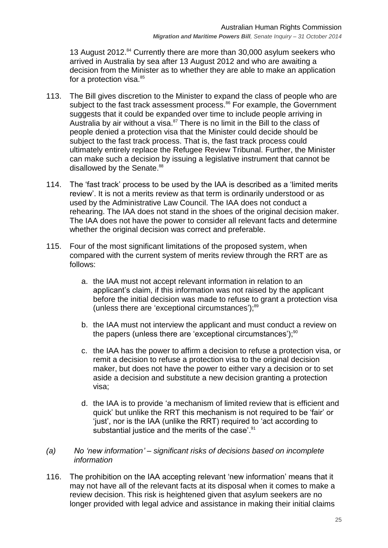13 August 2012.<sup>84</sup> Currently there are more than 30,000 asylum seekers who arrived in Australia by sea after 13 August 2012 and who are awaiting a decision from the Minister as to whether they are able to make an application for a protection visa.<sup>85</sup>

- 113. The Bill gives discretion to the Minister to expand the class of people who are subject to the fast track assessment process.<sup>86</sup> For example, the Government suggests that it could be expanded over time to include people arriving in Australia by air without a visa.<sup>87</sup> There is no limit in the Bill to the class of people denied a protection visa that the Minister could decide should be subject to the fast track process. That is, the fast track process could ultimately entirely replace the Refugee Review Tribunal. Further, the Minister can make such a decision by issuing a legislative instrument that cannot be disallowed by the Senate.<sup>88</sup>
- 114. The 'fast track' process to be used by the IAA is described as a 'limited merits review'. It is not a merits review as that term is ordinarily understood or as used by the Administrative Law Council. The IAA does not conduct a rehearing. The IAA does not stand in the shoes of the original decision maker. The IAA does not have the power to consider all relevant facts and determine whether the original decision was correct and preferable.
- 115. Four of the most significant limitations of the proposed system, when compared with the current system of merits review through the RRT are as follows:
	- a. the IAA must not accept relevant information in relation to an applicant's claim, if this information was not raised by the applicant before the initial decision was made to refuse to grant a protection visa (unless there are 'exceptional circumstances');<sup>89</sup>
	- b. the IAA must not interview the applicant and must conduct a review on the papers (unless there are 'exceptional circumstances'); $90$
	- c. the IAA has the power to affirm a decision to refuse a protection visa, or remit a decision to refuse a protection visa to the original decision maker, but does not have the power to either vary a decision or to set aside a decision and substitute a new decision granting a protection visa;
	- d. the IAA is to provide ‗a mechanism of limited review that is efficient and quick' but unlike the RRT this mechanism is not required to be 'fair' or ‗just', nor is the IAA (unlike the RRT) required to ‗act according to substantial justice and the merits of the case'.<sup>91</sup>
- <span id="page-24-0"></span>*(a) No 'new information' – significant risks of decisions based on incomplete information*
- 116. The prohibition on the IAA accepting relevant 'new information' means that it may not have all of the relevant facts at its disposal when it comes to make a review decision. This risk is heightened given that asylum seekers are no longer provided with legal advice and assistance in making their initial claims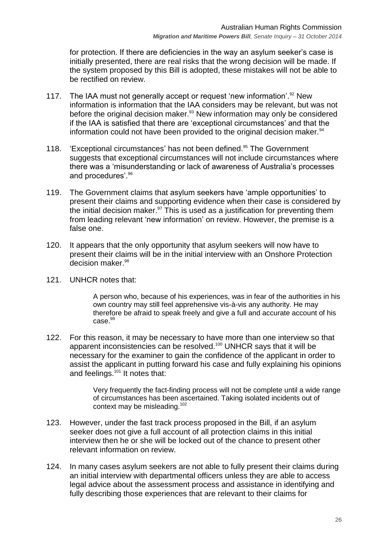for protection. If there are deficiencies in the way an asylum seeker's case is initially presented, there are real risks that the wrong decision will be made. If the system proposed by this Bill is adopted, these mistakes will not be able to be rectified on review.

- 117. The IAA must not generally accept or request 'new information'.<sup>92</sup> New information is information that the IAA considers may be relevant, but was not before the original decision maker.<sup>93</sup> New information may only be considered if the IAA is satisfied that there are 'exceptional circumstances' and that the information could not have been provided to the original decision maker.<sup>94</sup>
- 118. Exceptional circumstances' has not been defined.<sup>95</sup> The Government suggests that exceptional circumstances will not include circumstances where there was a 'misunderstanding or lack of awareness of Australia's processes and procedures'.<sup>96</sup>
- 119. The Government claims that asylum seekers have 'ample opportunities' to present their claims and supporting evidence when their case is considered by the initial decision maker. $97$  This is used as a justification for preventing them from leading relevant 'new information' on review. However, the premise is a false one.
- 120. It appears that the only opportunity that asylum seekers will now have to present their claims will be in the initial interview with an Onshore Protection decision maker. 98
- 121. UNHCR notes that:

A person who, because of his experiences, was in fear of the authorities in his own country may still feel apprehensive vis-à-vis any authority. He may therefore be afraid to speak freely and give a full and accurate account of his  $case.<sup>99</sup>$ 

122. For this reason, it may be necessary to have more than one interview so that apparent inconsistencies can be resolved.<sup>100</sup> UNHCR says that it will be necessary for the examiner to gain the confidence of the applicant in order to assist the applicant in putting forward his case and fully explaining his opinions and feelings. $101$  It notes that:

> Very frequently the fact-finding process will not be complete until a wide range of circumstances has been ascertained. Taking isolated incidents out of context may be misleading.<sup>102</sup>

- 123. However, under the fast track process proposed in the Bill, if an asylum seeker does not give a full account of all protection claims in this initial interview then he or she will be locked out of the chance to present other relevant information on review.
- 124. In many cases asylum seekers are not able to fully present their claims during an initial interview with departmental officers unless they are able to access legal advice about the assessment process and assistance in identifying and fully describing those experiences that are relevant to their claims for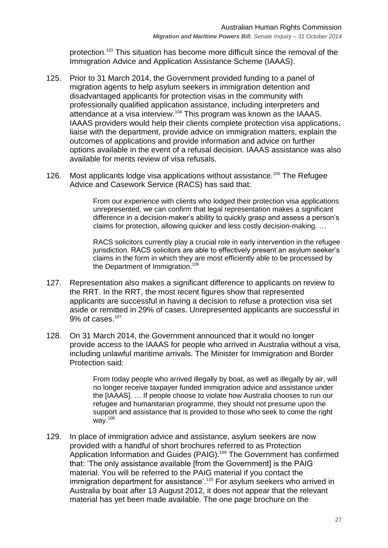protection.<sup>103</sup> This situation has become more difficult since the removal of the Immigration Advice and Application Assistance Scheme (IAAAS).

- 125. Prior to 31 March 2014, the Government provided funding to a panel of migration agents to help asylum seekers in immigration detention and disadvantaged applicants for protection visas in the community with professionally qualified application assistance, including interpreters and attendance at a visa interview.<sup>104</sup> This program was known as the IAAAS. IAAAS providers would help their clients complete protection visa applications, liaise with the department, provide advice on immigration matters, explain the outcomes of applications and provide information and advice on further options available in the event of a refusal decision. IAAAS assistance was also available for merits review of visa refusals.
- 126. Most applicants lodge visa applications without assistance.<sup>105</sup> The Refugee Advice and Casework Service (RACS) has said that:

From our experience with clients who lodged their protection visa applications unrepresented, we can confirm that legal representation makes a significant difference in a decision-maker's ability to quickly grasp and assess a person's claims for protection, allowing quicker and less costly decision-making. …

RACS solicitors currently play a crucial role in early intervention in the refugee jurisdiction. RACS solicitors are able to effectively present an asylum seeker's claims in the form in which they are most efficiently able to be processed by the Department of Immigration.<sup>106</sup>

- 127. Representation also makes a significant difference to applicants on review to the RRT. In the RRT, the most recent figures show that represented applicants are successful in having a decision to refuse a protection visa set aside or remitted in 29% of cases. Unrepresented applicants are successful in 9% of cases.<sup>107</sup>
- 128. On 31 March 2014, the Government announced that it would no longer provide access to the IAAAS for people who arrived in Australia without a visa, including unlawful maritime arrivals. The Minister for Immigration and Border Protection said:

From today people who arrived illegally by boat, as well as illegally by air, will no longer receive taxpayer funded immigration advice and assistance under the [IAAAS]. … If people choose to violate how Australia chooses to run our refugee and humanitarian programme, they should not presume upon the support and assistance that is provided to those who seek to come the right way.<sup>108</sup>

129. In place of immigration advice and assistance, asylum seekers are now provided with a handful of short brochures referred to as Protection Application Information and Guides (PAIG).<sup>109</sup> The Government has confirmed that: ‗The only assistance available [from the Government] is the PAIG material. You will be referred to the PAIG material if you contact the immigration department for assistance'.<sup>110</sup> For asylum seekers who arrived in Australia by boat after 13 August 2012, it does not appear that the relevant material has yet been made available. The one page brochure on the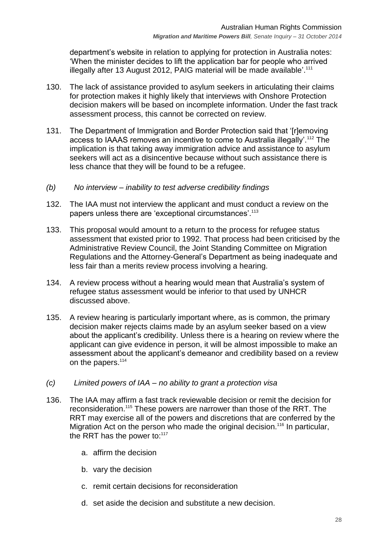department's website in relation to applying for protection in Australia notes: ‗When the minister decides to lift the application bar for people who arrived illegally after 13 August 2012, PAIG material will be made available'.<sup>111</sup>

- 130. The lack of assistance provided to asylum seekers in articulating their claims for protection makes it highly likely that interviews with Onshore Protection decision makers will be based on incomplete information. Under the fast track assessment process, this cannot be corrected on review.
- 131. The Department of Immigration and Border Protection said that '[r]emoving access to IAAAS removes an incentive to come to Australia illegally'.<sup>112</sup> The implication is that taking away immigration advice and assistance to asylum seekers will act as a disincentive because without such assistance there is less chance that they will be found to be a refugee.
- <span id="page-27-0"></span>*(b) No interview – inability to test adverse credibility findings*
- 132. The IAA must not interview the applicant and must conduct a review on the papers unless there are 'exceptional circumstances'.<sup>113</sup>
- 133. This proposal would amount to a return to the process for refugee status assessment that existed prior to 1992. That process had been criticised by the Administrative Review Council, the Joint Standing Committee on Migration Regulations and the Attorney-General's Department as being inadequate and less fair than a merits review process involving a hearing.
- 134. A review process without a hearing would mean that Australia's system of refugee status assessment would be inferior to that used by UNHCR discussed above.
- 135. A review hearing is particularly important where, as is common, the primary decision maker rejects claims made by an asylum seeker based on a view about the applicant's credibility. Unless there is a hearing on review where the applicant can give evidence in person, it will be almost impossible to make an assessment about the applicant's demeanor and credibility based on a review on the papers.<sup>114</sup>
- <span id="page-27-1"></span>*(c) Limited powers of IAA – no ability to grant a protection visa*
- 136. The IAA may affirm a fast track reviewable decision or remit the decision for reconsideration.<sup>115</sup> These powers are narrower than those of the RRT. The RRT may exercise all of the powers and discretions that are conferred by the Migration Act on the person who made the original decision.<sup>116</sup> In particular, the RRT has the power to: $117$ 
	- a. affirm the decision
	- b. vary the decision
	- c. remit certain decisions for reconsideration
	- d. set aside the decision and substitute a new decision.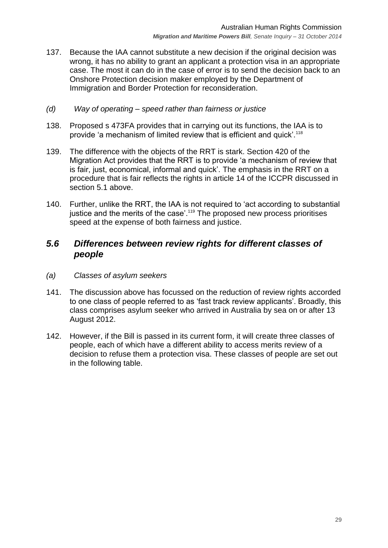137. Because the IAA cannot substitute a new decision if the original decision was wrong, it has no ability to grant an applicant a protection visa in an appropriate case. The most it can do in the case of error is to send the decision back to an Onshore Protection decision maker employed by the Department of Immigration and Border Protection for reconsideration.

#### <span id="page-28-0"></span>*(d) Way of operating – speed rather than fairness or justice*

- 138. Proposed s 473FA provides that in carrying out its functions, the IAA is to provide 'a mechanism of limited review that is efficient and quick'.<sup>118</sup>
- 139. The difference with the objects of the RRT is stark. Section 420 of the Migration Act provides that the RRT is to provide 'a mechanism of review that is fair, just, economical, informal and quick'. The emphasis in the RRT on a procedure that is fair reflects the rights in article 14 of the ICCPR discussed in section [5.1](#page-17-1) above.
- 140. Further, unlike the RRT, the IAA is not required to 'act according to substantial justice and the merits of the case'.<sup>119</sup> The proposed new process prioritises speed at the expense of both fairness and justice.

#### <span id="page-28-1"></span>*5.6 Differences between review rights for different classes of people*

- <span id="page-28-2"></span>*(a) Classes of asylum seekers*
- 141. The discussion above has focussed on the reduction of review rights accorded to one class of people referred to as 'fast track review applicants'. Broadly, this class comprises asylum seeker who arrived in Australia by sea on or after 13 August 2012.
- 142. However, if the Bill is passed in its current form, it will create three classes of people, each of which have a different ability to access merits review of a decision to refuse them a protection visa. These classes of people are set out in the following table.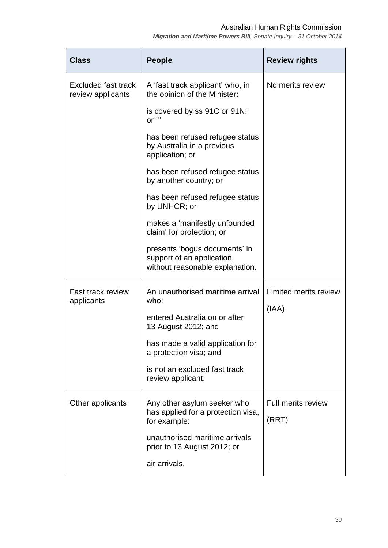#### Australian Human Rights Commission

*Migration and Maritime Powers Bill, Senate Inquiry – 31 October 2014*

| <b>Class</b>                             | <b>People</b>                                                                                  | <b>Review rights</b>      |
|------------------------------------------|------------------------------------------------------------------------------------------------|---------------------------|
| Excluded fast track<br>review applicants | A 'fast track applicant' who, in<br>the opinion of the Minister:                               | No merits review          |
|                                          | is covered by ss 91C or 91N;<br>$\text{Or}^{120}$                                              |                           |
|                                          | has been refused refugee status<br>by Australia in a previous<br>application; or               |                           |
|                                          | has been refused refugee status<br>by another country; or                                      |                           |
|                                          | has been refused refugee status<br>by UNHCR; or                                                |                           |
|                                          | makes a 'manifestly unfounded<br>claim' for protection; or                                     |                           |
|                                          | presents 'bogus documents' in<br>support of an application,<br>without reasonable explanation. |                           |
| <b>Fast track review</b><br>applicants   | An unauthorised maritime arrival<br>who:                                                       | Limited merits review     |
|                                          | entered Australia on or after<br>13 August 2012; and                                           | (IAA)                     |
|                                          | has made a valid application for<br>a protection visa; and                                     |                           |
|                                          | is not an excluded fast track<br>review applicant.                                             |                           |
| Other applicants                         | Any other asylum seeker who                                                                    | <b>Full merits review</b> |
|                                          | has applied for a protection visa,<br>for example:                                             | (RRT)                     |
|                                          | unauthorised maritime arrivals<br>prior to 13 August 2012; or                                  |                           |
|                                          | air arrivals.                                                                                  |                           |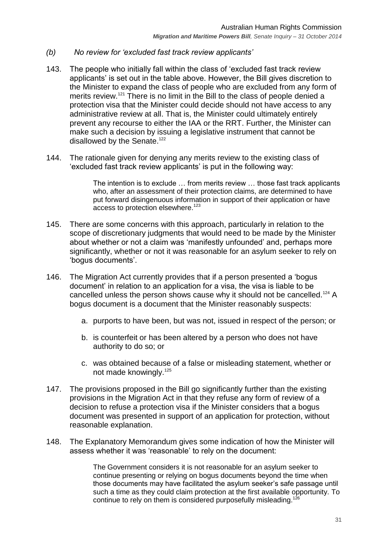- <span id="page-30-0"></span>*(b) No review for 'excluded fast track review applicants'*
- 143. The people who initially fall within the class of ‗excluded fast track review applicants' is set out in the table above. However, the Bill gives discretion to the Minister to expand the class of people who are excluded from any form of merits review.<sup>121</sup> There is no limit in the Bill to the class of people denied a protection visa that the Minister could decide should not have access to any administrative review at all. That is, the Minister could ultimately entirely prevent any recourse to either the IAA or the RRT. Further, the Minister can make such a decision by issuing a legislative instrument that cannot be disallowed by the Senate.<sup>122</sup>
- 144. The rationale given for denying any merits review to the existing class of ‗excluded fast track review applicants' is put in the following way:

The intention is to exclude … from merits review … those fast track applicants who, after an assessment of their protection claims, are determined to have put forward disingenuous information in support of their application or have access to protection elsewhere.<sup>123</sup>

- 145. There are some concerns with this approach, particularly in relation to the scope of discretionary judgments that would need to be made by the Minister about whether or not a claim was 'manifestly unfounded' and, perhaps more significantly, whether or not it was reasonable for an asylum seeker to rely on ‗bogus documents'.
- 146. The Migration Act currently provides that if a person presented a 'bogus document' in relation to an application for a visa, the visa is liable to be cancelled unless the person shows cause why it should not be cancelled.<sup>124</sup> A bogus document is a document that the Minister reasonably suspects:
	- a. purports to have been, but was not, issued in respect of the person; or
	- b. is counterfeit or has been altered by a person who does not have authority to do so; or
	- c. was obtained because of a false or misleading statement, whether or not made knowingly.<sup>125</sup>
- 147. The provisions proposed in the Bill go significantly further than the existing provisions in the Migration Act in that they refuse any form of review of a decision to refuse a protection visa if the Minister considers that a bogus document was presented in support of an application for protection, without reasonable explanation.
- 148. The Explanatory Memorandum gives some indication of how the Minister will assess whether it was 'reasonable' to rely on the document:

The Government considers it is not reasonable for an asylum seeker to continue presenting or relying on bogus documents beyond the time when those documents may have facilitated the asylum seeker's safe passage until such a time as they could claim protection at the first available opportunity. To continue to rely on them is considered purposefully misleading.<sup>126</sup>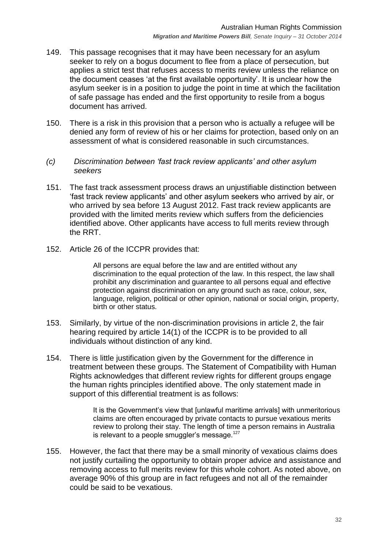- 149. This passage recognises that it may have been necessary for an asylum seeker to rely on a bogus document to flee from a place of persecution, but applies a strict test that refuses access to merits review unless the reliance on the document ceases 'at the first available opportunity'. It is unclear how the asylum seeker is in a position to judge the point in time at which the facilitation of safe passage has ended and the first opportunity to resile from a bogus document has arrived.
- 150. There is a risk in this provision that a person who is actually a refugee will be denied any form of review of his or her claims for protection, based only on an assessment of what is considered reasonable in such circumstances.
- <span id="page-31-0"></span>*(c) Discrimination between 'fast track review applicants' and other asylum seekers*
- 151. The fast track assessment process draws an unjustifiable distinction between ‗fast track review applicants' and other asylum seekers who arrived by air, or who arrived by sea before 13 August 2012. Fast track review applicants are provided with the limited merits review which suffers from the deficiencies identified above. Other applicants have access to full merits review through the RRT.
- 152. Article 26 of the ICCPR provides that:

All persons are equal before the law and are entitled without any discrimination to the equal protection of the law. In this respect, the law shall prohibit any discrimination and guarantee to all persons equal and effective protection against discrimination on any ground such as race, colour, sex, language, religion, political or other opinion, national or social origin, property, birth or other status.

- 153. Similarly, by virtue of the non-discrimination provisions in article 2, the fair hearing required by article 14(1) of the ICCPR is to be provided to all individuals without distinction of any kind.
- 154. There is little justification given by the Government for the difference in treatment between these groups. The Statement of Compatibility with Human Rights acknowledges that different review rights for different groups engage the human rights principles identified above. The only statement made in support of this differential treatment is as follows:

It is the Government's view that [unlawful maritime arrivals] with unmeritorious claims are often encouraged by private contacts to pursue vexatious merits review to prolong their stay. The length of time a person remains in Australia is relevant to a people smuggler's message.<sup>127</sup>

155. However, the fact that there may be a small minority of vexatious claims does not justify curtailing the opportunity to obtain proper advice and assistance and removing access to full merits review for this whole cohort. As noted above, on average 90% of this group are in fact refugees and not all of the remainder could be said to be vexatious.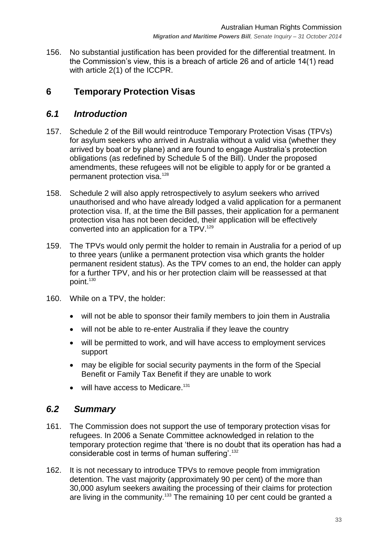156. No substantial justification has been provided for the differential treatment. In the Commission's view, this is a breach of article 26 and of article 14(1) read with article 2(1) of the ICCPR.

# <span id="page-32-0"></span>**6 Temporary Protection Visas**

## <span id="page-32-1"></span>*6.1 Introduction*

- 157. Schedule 2 of the Bill would reintroduce Temporary Protection Visas (TPVs) for asylum seekers who arrived in Australia without a valid visa (whether they arrived by boat or by plane) and are found to engage Australia's protection obligations (as redefined by Schedule 5 of the Bill). Under the proposed amendments, these refugees will not be eligible to apply for or be granted a permanent protection visa.<sup>128</sup>
- 158. Schedule 2 will also apply retrospectively to asylum seekers who arrived unauthorised and who have already lodged a valid application for a permanent protection visa. If, at the time the Bill passes, their application for a permanent protection visa has not been decided, their application will be effectively converted into an application for a TPV.<sup>129</sup>
- 159. The TPVs would only permit the holder to remain in Australia for a period of up to three years (unlike a permanent protection visa which grants the holder permanent resident status). As the TPV comes to an end, the holder can apply for a further TPV, and his or her protection claim will be reassessed at that point.<sup>130</sup>
- 160. While on a TPV, the holder:
	- will not be able to sponsor their family members to join them in Australia
	- will not be able to re-enter Australia if they leave the country
	- will be permitted to work, and will have access to employment services support
	- may be eligible for social security payments in the form of the Special Benefit or Family Tax Benefit if they are unable to work
	- $\bullet$  will have access to Medicare.<sup>131</sup>

## <span id="page-32-2"></span>*6.2 Summary*

- 161. The Commission does not support the use of temporary protection visas for refugees. In 2006 a Senate Committee acknowledged in relation to the temporary protection regime that 'there is no doubt that its operation has had a considerable cost in terms of human suffering'.<sup>132</sup>
- 162. It is not necessary to introduce TPVs to remove people from immigration detention. The vast majority (approximately 90 per cent) of the more than 30,000 asylum seekers awaiting the processing of their claims for protection are living in the community.<sup>133</sup> The remaining 10 per cent could be granted a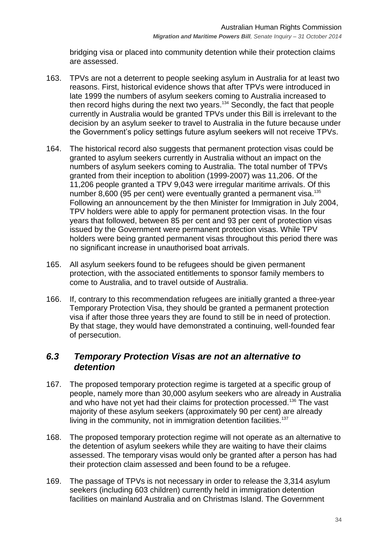bridging visa or placed into community detention while their protection claims are assessed.

- 163. TPVs are not a deterrent to people seeking asylum in Australia for at least two reasons. First, historical evidence shows that after TPVs were introduced in late 1999 the numbers of asylum seekers coming to Australia increased to then record highs during the next two years.<sup>134</sup> Secondly, the fact that people currently in Australia would be granted TPVs under this Bill is irrelevant to the decision by an asylum seeker to travel to Australia in the future because under the Government's policy settings future asylum seekers will not receive TPVs.
- 164. The historical record also suggests that permanent protection visas could be granted to asylum seekers currently in Australia without an impact on the numbers of asylum seekers coming to Australia. The total number of TPVs granted from their inception to abolition (1999-2007) was 11,206. Of the 11,206 people granted a TPV 9,043 were irregular maritime arrivals. Of this number 8,600 (95 per cent) were eventually granted a permanent visa.<sup>135</sup> Following an announcement by the then Minister for Immigration in July 2004, TPV holders were able to apply for permanent protection visas. In the four years that followed, between 85 per cent and 93 per cent of protection visas issued by the Government were permanent protection visas. While TPV holders were being granted permanent visas throughout this period there was no significant increase in unauthorised boat arrivals.
- 165. All asylum seekers found to be refugees should be given permanent protection, with the associated entitlements to sponsor family members to come to Australia, and to travel outside of Australia.
- 166. If, contrary to this recommendation refugees are initially granted a three-year Temporary Protection Visa, they should be granted a permanent protection visa if after those three years they are found to still be in need of protection. By that stage, they would have demonstrated a continuing, well-founded fear of persecution.

## <span id="page-33-0"></span>*6.3 Temporary Protection Visas are not an alternative to detention*

- 167. The proposed temporary protection regime is targeted at a specific group of people, namely more than 30,000 asylum seekers who are already in Australia and who have not yet had their claims for protection processed.<sup>136</sup> The vast majority of these asylum seekers (approximately 90 per cent) are already living in the community, not in immigration detention facilities.<sup>137</sup>
- 168. The proposed temporary protection regime will not operate as an alternative to the detention of asylum seekers while they are waiting to have their claims assessed. The temporary visas would only be granted after a person has had their protection claim assessed and been found to be a refugee.
- 169. The passage of TPVs is not necessary in order to release the 3,314 asylum seekers (including 603 children) currently held in immigration detention facilities on mainland Australia and on Christmas Island. The Government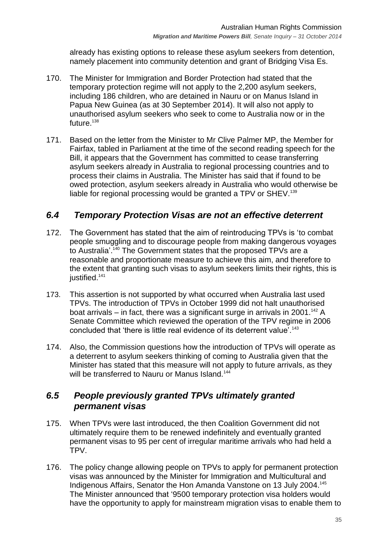already has existing options to release these asylum seekers from detention, namely placement into community detention and grant of Bridging Visa Es.

- 170. The Minister for Immigration and Border Protection had stated that the temporary protection regime will not apply to the 2,200 asylum seekers, including 186 children, who are detained in Nauru or on Manus Island in Papua New Guinea (as at 30 September 2014). It will also not apply to unauthorised asylum seekers who seek to come to Australia now or in the future.<sup>138</sup>
- 171. Based on the letter from the Minister to Mr Clive Palmer MP, the Member for Fairfax, tabled in Parliament at the time of the second reading speech for the Bill, it appears that the Government has committed to cease transferring asylum seekers already in Australia to regional processing countries and to process their claims in Australia. The Minister has said that if found to be owed protection, asylum seekers already in Australia who would otherwise be liable for regional processing would be granted a TPV or SHEV.<sup>139</sup>

## <span id="page-34-0"></span>*6.4 Temporary Protection Visas are not an effective deterrent*

- 172. The Government has stated that the aim of reintroducing TPVs is 'to combat people smuggling and to discourage people from making dangerous voyages to Australia'.<sup>140</sup> The Government states that the proposed TPVs are a reasonable and proportionate measure to achieve this aim, and therefore to the extent that granting such visas to asylum seekers limits their rights, this is justified.<sup>141</sup>
- 173. This assertion is not supported by what occurred when Australia last used TPVs. The introduction of TPVs in October 1999 did not halt unauthorised boat arrivals – in fact, there was a significant surge in arrivals in 2001.<sup>142</sup> A Senate Committee which reviewed the operation of the TPV regime in 2006 concluded that 'there is little real evidence of its deterrent value'.<sup>143</sup>
- 174. Also, the Commission questions how the introduction of TPVs will operate as a deterrent to asylum seekers thinking of coming to Australia given that the Minister has stated that this measure will not apply to future arrivals, as they will be transferred to Nauru or Manus Island.<sup>144</sup>

## <span id="page-34-1"></span>*6.5 People previously granted TPVs ultimately granted permanent visas*

- 175. When TPVs were last introduced, the then Coalition Government did not ultimately require them to be renewed indefinitely and eventually granted permanent visas to 95 per cent of irregular maritime arrivals who had held a TPV.
- 176. The policy change allowing people on TPVs to apply for permanent protection visas was announced by the Minister for Immigration and Multicultural and Indigenous Affairs, Senator the Hon Amanda Vanstone on 13 July 2004.<sup>145</sup> The Minister announced that '9500 temporary protection visa holders would have the opportunity to apply for mainstream migration visas to enable them to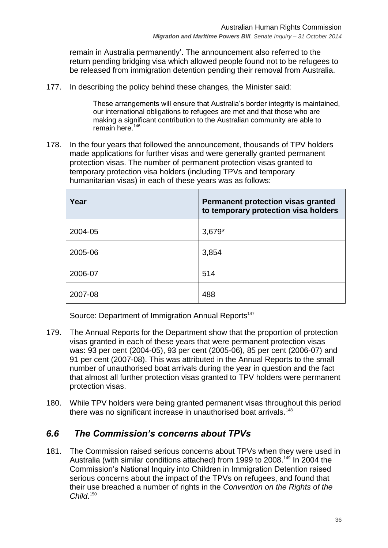remain in Australia permanently'. The announcement also referred to the return pending bridging visa which allowed people found not to be refugees to be released from immigration detention pending their removal from Australia.

177. In describing the policy behind these changes, the Minister said:

These arrangements will ensure that Australia's border integrity is maintained, our international obligations to refugees are met and that those who are making a significant contribution to the Australian community are able to remain here. $146$ 

178. In the four years that followed the announcement, thousands of TPV holders made applications for further visas and were generally granted permanent protection visas. The number of permanent protection visas granted to temporary protection visa holders (including TPVs and temporary humanitarian visas) in each of these years was as follows:

| Year    | Permanent protection visas granted<br>to temporary protection visa holders |
|---------|----------------------------------------------------------------------------|
| 2004-05 | $3,679*$                                                                   |
| 2005-06 | 3,854                                                                      |
| 2006-07 | 514                                                                        |
| 2007-08 | 488                                                                        |

Source: Department of Immigration Annual Reports<sup>147</sup>

- 179. The Annual Reports for the Department show that the proportion of protection visas granted in each of these years that were permanent protection visas was: 93 per cent (2004-05), 93 per cent (2005-06), 85 per cent (2006-07) and 91 per cent (2007-08). This was attributed in the Annual Reports to the small number of unauthorised boat arrivals during the year in question and the fact that almost all further protection visas granted to TPV holders were permanent protection visas.
- 180. While TPV holders were being granted permanent visas throughout this period there was no significant increase in unauthorised boat arrivals.<sup>148</sup>

## <span id="page-35-0"></span>*6.6 The Commission's concerns about TPVs*

181. The Commission raised serious concerns about TPVs when they were used in Australia (with similar conditions attached) from 1999 to 2008.<sup>149</sup> In 2004 the Commission's National Inquiry into Children in Immigration Detention raised serious concerns about the impact of the TPVs on refugees, and found that their use breached a number of rights in the *Convention on the Rights of the Child*. 150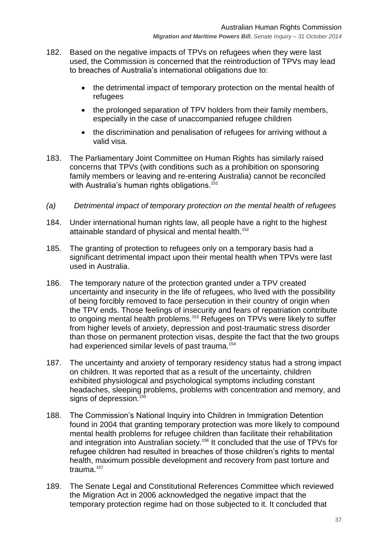- 182. Based on the negative impacts of TPVs on refugees when they were last used, the Commission is concerned that the reintroduction of TPVs may lead to breaches of Australia's international obligations due to:
	- the detrimental impact of temporary protection on the mental health of refugees
	- the prolonged separation of TPV holders from their family members, especially in the case of unaccompanied refugee children
	- the discrimination and penalisation of refugees for arriving without a valid visa.
- 183. The Parliamentary Joint Committee on Human Rights has similarly raised concerns that TPVs (with conditions such as a prohibition on sponsoring family members or leaving and re-entering Australia) cannot be reconciled with Australia's human rights obligations.<sup>151</sup>
- <span id="page-36-0"></span>*(a) Detrimental impact of temporary protection on the mental health of refugees*
- 184. Under international human rights law, all people have a right to the highest attainable standard of physical and mental health.<sup>152</sup>
- 185. The granting of protection to refugees only on a temporary basis had a significant detrimental impact upon their mental health when TPVs were last used in Australia.
- 186. The temporary nature of the protection granted under a TPV created uncertainty and insecurity in the life of refugees, who lived with the possibility of being forcibly removed to face persecution in their country of origin when the TPV ends. Those feelings of insecurity and fears of repatriation contribute to ongoing mental health problems.<sup>153</sup> Refugees on TPVs were likely to suffer from higher levels of anxiety, depression and post-traumatic stress disorder than those on permanent protection visas, despite the fact that the two groups had experienced similar levels of past trauma.<sup>154</sup>
- 187. The uncertainty and anxiety of temporary residency status had a strong impact on children. It was reported that as a result of the uncertainty, children exhibited physiological and psychological symptoms including constant headaches, sleeping problems, problems with concentration and memory, and signs of depression.<sup>155</sup>
- 188. The Commission's National Inquiry into Children in Immigration Detention found in 2004 that granting temporary protection was more likely to compound mental health problems for refugee children than facilitate their rehabilitation and integration into Australian society.<sup>156</sup> It concluded that the use of TPVs for refugee children had resulted in breaches of those children's rights to mental health, maximum possible development and recovery from past torture and trauma.<sup>157</sup>
- 189. The Senate Legal and Constitutional References Committee which reviewed the Migration Act in 2006 acknowledged the negative impact that the temporary protection regime had on those subjected to it. It concluded that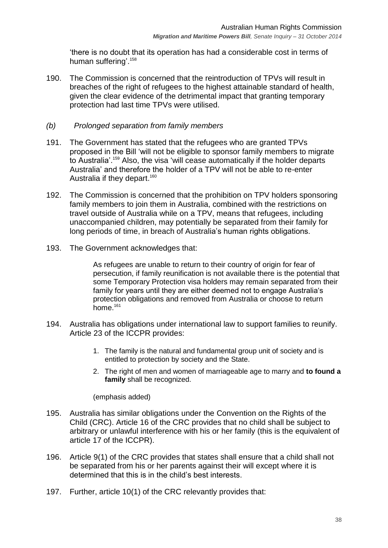there is no doubt that its operation has had a considerable cost in terms of human suffering'.<sup>158</sup>

190. The Commission is concerned that the reintroduction of TPVs will result in breaches of the right of refugees to the highest attainable standard of health, given the clear evidence of the detrimental impact that granting temporary protection had last time TPVs were utilised.

#### <span id="page-37-0"></span>*(b) Prolonged separation from family members*

- 191. The Government has stated that the refugees who are granted TPVs proposed in the Bill ‗will not be eligible to sponsor family members to migrate to Australia'.<sup>159</sup> Also, the visa 'will cease automatically if the holder departs Australia' and therefore the holder of a TPV will not be able to re-enter Australia if they depart.<sup>160</sup>
- 192. The Commission is concerned that the prohibition on TPV holders sponsoring family members to join them in Australia, combined with the restrictions on travel outside of Australia while on a TPV, means that refugees, including unaccompanied children, may potentially be separated from their family for long periods of time, in breach of Australia's human rights obligations.
- 193. The Government acknowledges that:

As refugees are unable to return to their country of origin for fear of persecution, if family reunification is not available there is the potential that some Temporary Protection visa holders may remain separated from their family for years until they are either deemed not to engage Australia's protection obligations and removed from Australia or choose to return home. $161$ 

- 194. Australia has obligations under international law to support families to reunify. Article 23 of the ICCPR provides:
	- 1. The family is the natural and fundamental group unit of society and is entitled to protection by society and the State.
	- 2. The right of men and women of marriageable age to marry and **to found a family** shall be recognized.

(emphasis added)

- 195. Australia has similar obligations under the Convention on the Rights of the Child (CRC). Article 16 of the CRC provides that no child shall be subject to arbitrary or unlawful interference with his or her family (this is the equivalent of article 17 of the ICCPR).
- 196. Article 9(1) of the CRC provides that states shall ensure that a child shall not be separated from his or her parents against their will except where it is determined that this is in the child's best interests.
- 197. Further, article 10(1) of the CRC relevantly provides that: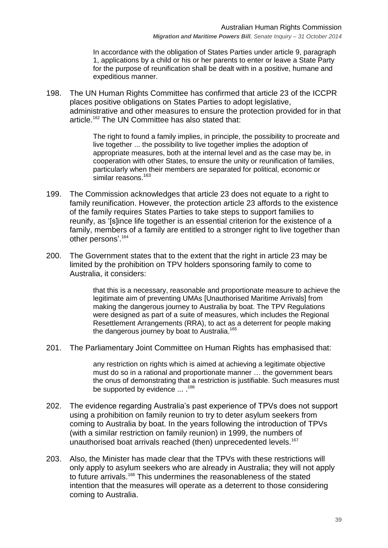In accordance with the obligation of States Parties under article 9, paragraph 1, applications by a child or his or her parents to enter or leave a State Party for the purpose of reunification shall be dealt with in a positive, humane and expeditious manner.

198. The UN Human Rights Committee has confirmed that article 23 of the ICCPR places positive obligations on States Parties to adopt legislative, administrative and other measures to ensure the protection provided for in that article.<sup>162</sup> The UN Committee has also stated that:

> The right to found a family implies, in principle, the possibility to procreate and live together ... the possibility to live together implies the adoption of appropriate measures, both at the internal level and as the case may be, in cooperation with other States, to ensure the unity or reunification of families, particularly when their members are separated for political, economic or similar reasons.<sup>163</sup>

- 199. The Commission acknowledges that article 23 does not equate to a right to family reunification. However, the protection article 23 affords to the existence of the family requires States Parties to take steps to support families to reunify, as '[s]ince life together is an essential criterion for the existence of a family, members of a family are entitled to a stronger right to live together than other persons'.<sup>164</sup>
- 200. The Government states that to the extent that the right in article 23 may be limited by the prohibition on TPV holders sponsoring family to come to Australia, it considers:

that this is a necessary, reasonable and proportionate measure to achieve the legitimate aim of preventing UMAs [Unauthorised Maritime Arrivals] from making the dangerous journey to Australia by boat. The TPV Regulations were designed as part of a suite of measures, which includes the Regional Resettlement Arrangements (RRA), to act as a deterrent for people making the dangerous journey by boat to Australia.<sup>165</sup>

201. The Parliamentary Joint Committee on Human Rights has emphasised that:

any restriction on rights which is aimed at achieving a legitimate objective must do so in a rational and proportionate manner … the government bears the onus of demonstrating that a restriction is justifiable. Such measures must be supported by evidence ... .<sup>166</sup>

- 202. The evidence regarding Australia's past experience of TPVs does not support using a prohibition on family reunion to try to deter asylum seekers from coming to Australia by boat. In the years following the introduction of TPVs (with a similar restriction on family reunion) in 1999, the numbers of unauthorised boat arrivals reached (then) unprecedented levels.<sup>167</sup>
- 203. Also, the Minister has made clear that the TPVs with these restrictions will only apply to asylum seekers who are already in Australia; they will not apply to future arrivals.<sup>168</sup> This undermines the reasonableness of the stated intention that the measures will operate as a deterrent to those considering coming to Australia.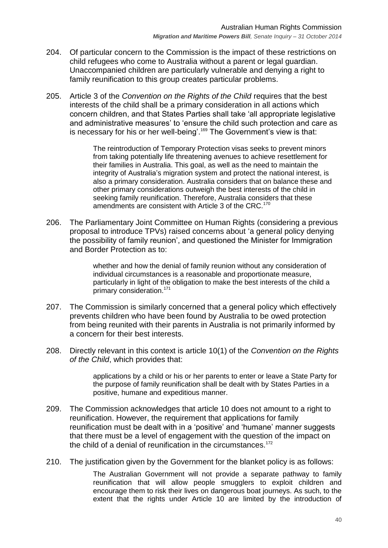- 204. Of particular concern to the Commission is the impact of these restrictions on child refugees who come to Australia without a parent or legal guardian. Unaccompanied children are particularly vulnerable and denying a right to family reunification to this group creates particular problems.
- 205. Article 3 of the *Convention on the Rights of the Child* requires that the best interests of the child shall be a primary consideration in all actions which concern children, and that States Parties shall take ‗all appropriate legislative and administrative measures' to 'ensure the child such protection and care as is necessary for his or her well-being'.<sup>169</sup> The Government's view is that:

The reintroduction of Temporary Protection visas seeks to prevent minors from taking potentially life threatening avenues to achieve resettlement for their families in Australia. This goal, as well as the need to maintain the integrity of Australia's migration system and protect the national interest, is also a primary consideration. Australia considers that on balance these and other primary considerations outweigh the best interests of the child in seeking family reunification. Therefore, Australia considers that these amendments are consistent with Article 3 of the CRC.<sup>170</sup>

206. The Parliamentary Joint Committee on Human Rights (considering a previous proposal to introduce TPVs) raised concerns about ‗a general policy denying the possibility of family reunion', and questioned the Minister for Immigration and Border Protection as to:

> whether and how the denial of family reunion without any consideration of individual circumstances is a reasonable and proportionate measure, particularly in light of the obligation to make the best interests of the child a primary consideration.<sup>171</sup>

- 207. The Commission is similarly concerned that a general policy which effectively prevents children who have been found by Australia to be owed protection from being reunited with their parents in Australia is not primarily informed by a concern for their best interests.
- 208. Directly relevant in this context is article 10(1) of the *Convention on the Rights of the Child*, which provides that:

applications by a child or his or her parents to enter or leave a State Party for the purpose of family reunification shall be dealt with by States Parties in a positive, humane and expeditious manner.

- 209. The Commission acknowledges that article 10 does not amount to a right to reunification. However, the requirement that applications for family reunification must be dealt with in a 'positive' and 'humane' manner suggests that there must be a level of engagement with the question of the impact on the child of a denial of reunification in the circumstances.<sup>172</sup>
- 210. The justification given by the Government for the blanket policy is as follows:

The Australian Government will not provide a separate pathway to family reunification that will allow people smugglers to exploit children and encourage them to risk their lives on dangerous boat journeys. As such, to the extent that the rights under Article 10 are limited by the introduction of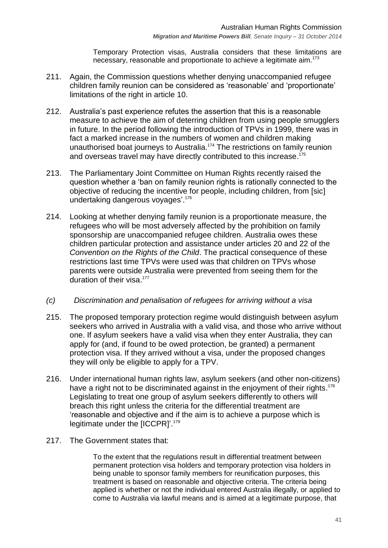Temporary Protection visas, Australia considers that these limitations are necessary, reasonable and proportionate to achieve a legitimate aim.<sup>173</sup>

- 211. Again, the Commission questions whether denying unaccompanied refugee children family reunion can be considered as 'reasonable' and 'proportionate' limitations of the right in article 10.
- 212. Australia's past experience refutes the assertion that this is a reasonable measure to achieve the aim of deterring children from using people smugglers in future. In the period following the introduction of TPVs in 1999, there was in fact a marked increase in the numbers of women and children making unauthorised boat journeys to Australia. <sup>174</sup> The restrictions on family reunion and overseas travel may have directly contributed to this increase.<sup>175</sup>
- 213. The Parliamentary Joint Committee on Human Rights recently raised the question whether a 'ban on family reunion rights is rationally connected to the objective of reducing the incentive for people, including children, from [sic] undertaking dangerous voyages'. 176
- 214. Looking at whether denying family reunion is a proportionate measure, the refugees who will be most adversely affected by the prohibition on family sponsorship are unaccompanied refugee children. Australia owes these children particular protection and assistance under articles 20 and 22 of the *Convention on the Rights of the Child*. The practical consequence of these restrictions last time TPVs were used was that children on TPVs whose parents were outside Australia were prevented from seeing them for the duration of their visa.<sup>177</sup>
- <span id="page-40-0"></span>*(c) Discrimination and penalisation of refugees for arriving without a visa*
- 215. The proposed temporary protection regime would distinguish between asylum seekers who arrived in Australia with a valid visa, and those who arrive without one. If asylum seekers have a valid visa when they enter Australia, they can apply for (and, if found to be owed protection, be granted) a permanent protection visa. If they arrived without a visa, under the proposed changes they will only be eligible to apply for a TPV.
- 216. Under international human rights law, asylum seekers (and other non-citizens) have a right not to be discriminated against in the enjoyment of their rights.<sup>178</sup> Legislating to treat one group of asylum seekers differently to others will breach this right unless the criteria for the differential treatment are ‗reasonable and objective and if the aim is to achieve a purpose which is legitimate under the [ICCPR]'.<sup>179</sup>
- 217. The Government states that:

To the extent that the regulations result in differential treatment between permanent protection visa holders and temporary protection visa holders in being unable to sponsor family members for reunification purposes, this treatment is based on reasonable and objective criteria. The criteria being applied is whether or not the individual entered Australia illegally, or applied to come to Australia via lawful means and is aimed at a legitimate purpose, that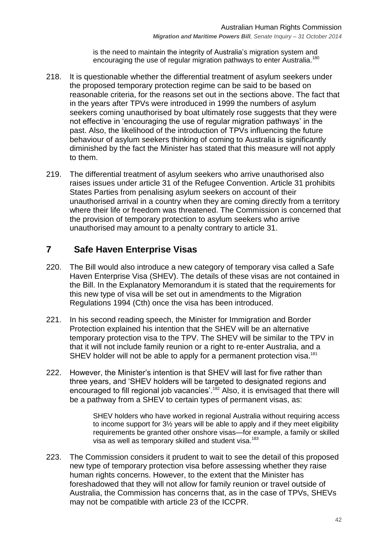is the need to maintain the integrity of Australia's migration system and encouraging the use of regular migration pathways to enter Australia.<sup>180</sup>

- 218. It is questionable whether the differential treatment of asylum seekers under the proposed temporary protection regime can be said to be based on reasonable criteria, for the reasons set out in the sections above. The fact that in the years after TPVs were introduced in 1999 the numbers of asylum seekers coming unauthorised by boat ultimately rose suggests that they were not effective in 'encouraging the use of regular migration pathways' in the past. Also, the likelihood of the introduction of TPVs influencing the future behaviour of asylum seekers thinking of coming to Australia is significantly diminished by the fact the Minister has stated that this measure will not apply to them.
- 219. The differential treatment of asylum seekers who arrive unauthorised also raises issues under article 31 of the Refugee Convention. Article 31 prohibits States Parties from penalising asylum seekers on account of their unauthorised arrival in a country when they are coming directly from a territory where their life or freedom was threatened. The Commission is concerned that the provision of temporary protection to asylum seekers who arrive unauthorised may amount to a penalty contrary to article 31.

## <span id="page-41-0"></span>**7 Safe Haven Enterprise Visas**

- 220. The Bill would also introduce a new category of temporary visa called a Safe Haven Enterprise Visa (SHEV). The details of these visas are not contained in the Bill. In the Explanatory Memorandum it is stated that the requirements for this new type of visa will be set out in amendments to the Migration Regulations 1994 (Cth) once the visa has been introduced.
- 221. In his second reading speech, the Minister for Immigration and Border Protection explained his intention that the SHEV will be an alternative temporary protection visa to the TPV. The SHEV will be similar to the TPV in that it will not include family reunion or a right to re-enter Australia, and a SHEV holder will not be able to apply for a permanent protection visa.<sup>181</sup>
- 222. However, the Minister's intention is that SHEV will last for five rather than three years, and 'SHEV holders will be targeted to designated regions and encouraged to fill regional job vacancies'.<sup>182</sup> Also, it is envisaged that there will be a pathway from a SHEV to certain types of permanent visas, as:

SHEV holders who have worked in regional Australia without requiring access to income support for 3½ years will be able to apply and if they meet eligibility requirements be granted other onshore visas—for example, a family or skilled visa as well as temporary skilled and student visa.<sup>183</sup>

223. The Commission considers it prudent to wait to see the detail of this proposed new type of temporary protection visa before assessing whether they raise human rights concerns. However, to the extent that the Minister has foreshadowed that they will not allow for family reunion or travel outside of Australia, the Commission has concerns that, as in the case of TPVs, SHEVs may not be compatible with article 23 of the ICCPR.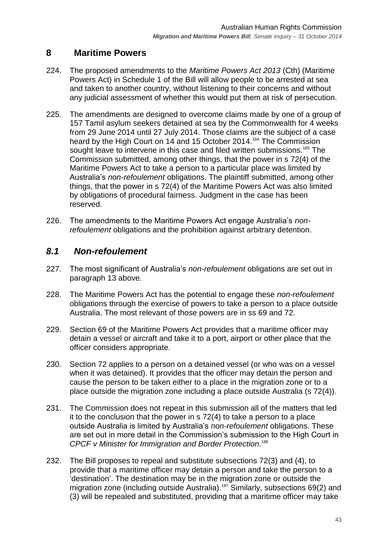## <span id="page-42-0"></span>**8 Maritime Powers**

- 224. The proposed amendments to the *Maritime Powers Act 2013* (Cth) (Maritime Powers Act) in Schedule 1 of the Bill will allow people to be arrested at sea and taken to another country, without listening to their concerns and without any judicial assessment of whether this would put them at risk of persecution.
- 225. The amendments are designed to overcome claims made by one of a group of 157 Tamil asylum seekers detained at sea by the Commonwealth for 4 weeks from 29 June 2014 until 27 July 2014. Those claims are the subject of a case heard by the High Court on 14 and 15 October 2014.<sup>184</sup> The Commission sought leave to intervene in this case and filed written submissions.<sup>185</sup> The Commission submitted, among other things, that the power in s 72(4) of the Maritime Powers Act to take a person to a particular place was limited by Australia's *non-refoulement* obligations. The plaintiff submitted, among other things, that the power in s 72(4) of the Maritime Powers Act was also limited by obligations of procedural fairness. Judgment in the case has been reserved.
- 226. The amendments to the Maritime Powers Act engage Australia's *nonrefoulement* obligations and the prohibition against arbitrary detention.

## <span id="page-42-1"></span>*8.1 Non-refoulement*

- 227. The most significant of Australia's *non-refoulement* obligations are set out in paragraph [13](#page-6-2) above.
- 228. The Maritime Powers Act has the potential to engage these *non-refoulement* obligations through the exercise of powers to take a person to a place outside Australia. The most relevant of those powers are in ss 69 and 72.
- 229. Section 69 of the Maritime Powers Act provides that a maritime officer may detain a vessel or aircraft and take it to a port, airport or other place that the officer considers appropriate.
- 230. Section 72 applies to a person on a detained vessel (or who was on a vessel when it was detained). It provides that the officer may detain the person and cause the person to be taken either to a place in the migration zone or to a place outside the migration zone including a place outside Australia (s 72(4)).
- 231. The Commission does not repeat in this submission all of the matters that led it to the conclusion that the power in s 72(4) to take a person to a place outside Australia is limited by Australia's *non-refoulement* obligations. These are set out in more detail in the Commission's submission to the High Court in *CPCF v Minister for Immigration and Border Protection*. 186
- 232. The Bill proposes to repeal and substitute subsections 72(3) and (4), to provide that a maritime officer may detain a person and take the person to a 'destination'. The destination may be in the migration zone or outside the migration zone (including outside Australia). <sup>187</sup> Similarly, subsections 69(2) and (3) will be repealed and substituted, providing that a maritime officer may take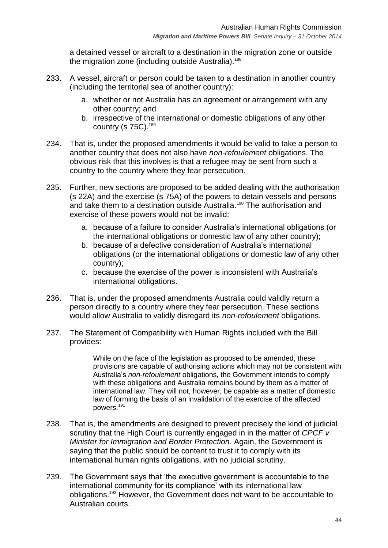a detained vessel or aircraft to a destination in the migration zone or outside the migration zone (including outside Australia).<sup>188</sup>

- 233. A vessel, aircraft or person could be taken to a destination in another country (including the territorial sea of another country):
	- a. whether or not Australia has an agreement or arrangement with any other country; and
	- b. irrespective of the international or domestic obligations of any other country (s  $75C$ ).<sup>189</sup>
- 234. That is, under the proposed amendments it would be valid to take a person to another country that does not also have *non-refoulement* obligations. The obvious risk that this involves is that a refugee may be sent from such a country to the country where they fear persecution.
- 235. Further, new sections are proposed to be added dealing with the authorisation (s 22A) and the exercise (s 75A) of the powers to detain vessels and persons and take them to a destination outside Australia.<sup>190</sup> The authorisation and exercise of these powers would not be invalid:
	- a. because of a failure to consider Australia's international obligations (or the international obligations or domestic law of any other country);
	- b. because of a defective consideration of Australia's international obligations (or the international obligations or domestic law of any other country);
	- c. because the exercise of the power is inconsistent with Australia's international obligations.
- 236. That is, under the proposed amendments Australia could validly return a person directly to a country where they fear persecution. These sections would allow Australia to validly disregard its *non-refoulement* obligations.
- 237. The Statement of Compatibility with Human Rights included with the Bill provides:

While on the face of the legislation as proposed to be amended, these provisions are capable of authorising actions which may not be consistent with Australia's *non-refoulement* obligations, the Government intends to comply with these obligations and Australia remains bound by them as a matter of international law. They will not, however, be capable as a matter of domestic law of forming the basis of an invalidation of the exercise of the affected powers.<sup>191</sup>

- 238. That is, the amendments are designed to prevent precisely the kind of judicial scrutiny that the High Court is currently engaged in in the matter of *CPCF v Minister for Immigration and Border Protection*. Again, the Government is saying that the public should be content to trust it to comply with its international human rights obligations, with no judicial scrutiny.
- 239. The Government says that 'the executive government is accountable to the international community for its compliance' with its international law obligations.<sup>192</sup> However, the Government does not want to be accountable to Australian courts.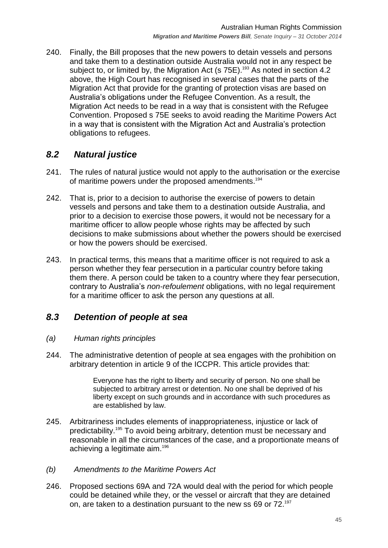240. Finally, the Bill proposes that the new powers to detain vessels and persons and take them to a destination outside Australia would not in any respect be subject to, or limited by, the Migration Act (s  $75E$ ).<sup>193</sup> As noted in section [4.2](#page-10-0) above, the High Court has recognised in several cases that the parts of the Migration Act that provide for the granting of protection visas are based on Australia's obligations under the Refugee Convention. As a result, the Migration Act needs to be read in a way that is consistent with the Refugee Convention. Proposed s 75E seeks to avoid reading the Maritime Powers Act in a way that is consistent with the Migration Act and Australia's protection obligations to refugees.

## <span id="page-44-0"></span>*8.2 Natural justice*

- 241. The rules of natural justice would not apply to the authorisation or the exercise of maritime powers under the proposed amendments. 194
- 242. That is, prior to a decision to authorise the exercise of powers to detain vessels and persons and take them to a destination outside Australia, and prior to a decision to exercise those powers, it would not be necessary for a maritime officer to allow people whose rights may be affected by such decisions to make submissions about whether the powers should be exercised or how the powers should be exercised.
- 243. In practical terms, this means that a maritime officer is not required to ask a person whether they fear persecution in a particular country before taking them there. A person could be taken to a country where they fear persecution, contrary to Australia's *non-refoulement* obligations, with no legal requirement for a maritime officer to ask the person any questions at all.

## <span id="page-44-1"></span>*8.3 Detention of people at sea*

#### <span id="page-44-2"></span>*(a) Human rights principles*

244. The administrative detention of people at sea engages with the prohibition on arbitrary detention in article 9 of the ICCPR. This article provides that:

> Everyone has the right to liberty and security of person. No one shall be subjected to arbitrary arrest or detention. No one shall be deprived of his liberty except on such grounds and in accordance with such procedures as are established by law.

- 245. Arbitrariness includes elements of inappropriateness, injustice or lack of predictability. <sup>195</sup> To avoid being arbitrary, detention must be necessary and reasonable in all the circumstances of the case, and a proportionate means of achieving a legitimate aim.<sup>196</sup>
- <span id="page-44-3"></span>*(b) Amendments to the Maritime Powers Act*
- 246. Proposed sections 69A and 72A would deal with the period for which people could be detained while they, or the vessel or aircraft that they are detained on, are taken to a destination pursuant to the new ss 69 or  $72.^{197}$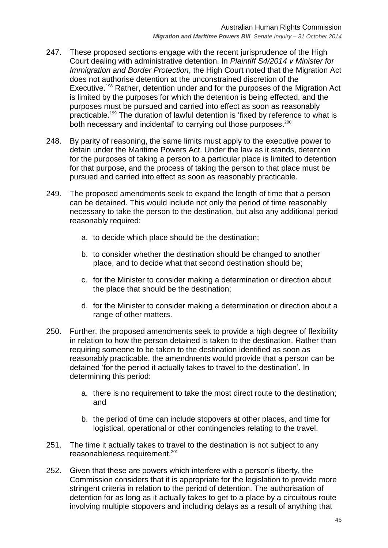- 247. These proposed sections engage with the recent jurisprudence of the High Court dealing with administrative detention. In *Plaintiff S4/2014 v Minister for Immigration and Border Protection, the High Court noted that the Migration Act* does not authorise detention at the unconstrained discretion of the Executive.<sup>198</sup> Rather, detention under and for the purposes of the Migration Act is limited by the purposes for which the detention is being effected, and the purposes must be pursued and carried into effect as soon as reasonably practicable.<sup>199</sup> The duration of lawful detention is 'fixed by reference to what is both necessary and incidental' to carrying out those purposes.<sup>200</sup>
- 248. By parity of reasoning, the same limits must apply to the executive power to detain under the Maritime Powers Act. Under the law as it stands, detention for the purposes of taking a person to a particular place is limited to detention for that purpose, and the process of taking the person to that place must be pursued and carried into effect as soon as reasonably practicable.
- 249. The proposed amendments seek to expand the length of time that a person can be detained. This would include not only the period of time reasonably necessary to take the person to the destination, but also any additional period reasonably required:
	- a. to decide which place should be the destination;
	- b. to consider whether the destination should be changed to another place, and to decide what that second destination should be;
	- c. for the Minister to consider making a determination or direction about the place that should be the destination;
	- d. for the Minister to consider making a determination or direction about a range of other matters.
- 250. Further, the proposed amendments seek to provide a high degree of flexibility in relation to how the person detained is taken to the destination. Rather than requiring someone to be taken to the destination identified as soon as reasonably practicable, the amendments would provide that a person can be detained 'for the period it actually takes to travel to the destination'. In determining this period:
	- a. there is no requirement to take the most direct route to the destination; and
	- b. the period of time can include stopovers at other places, and time for logistical, operational or other contingencies relating to the travel.
- 251. The time it actually takes to travel to the destination is not subject to any reasonableness requirement.<sup>201</sup>
- 252. Given that these are powers which interfere with a person's liberty, the Commission considers that it is appropriate for the legislation to provide more stringent criteria in relation to the period of detention. The authorisation of detention for as long as it actually takes to get to a place by a circuitous route involving multiple stopovers and including delays as a result of anything that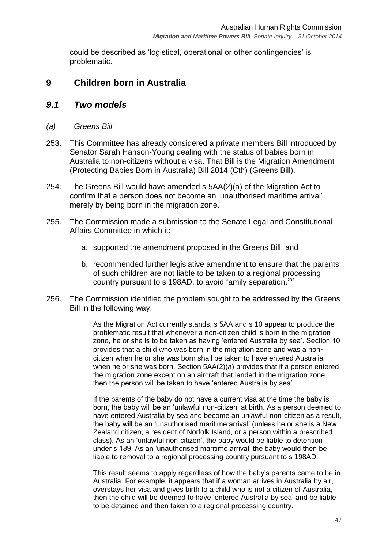could be described as 'logistical, operational or other contingencies' is problematic.

## <span id="page-46-0"></span>**9 Children born in Australia**

#### <span id="page-46-1"></span>*9.1 Two models*

- <span id="page-46-2"></span>*(a) Greens Bill*
- 253. This Committee has already considered a private members Bill introduced by Senator Sarah Hanson-Young dealing with the status of babies born in Australia to non-citizens without a visa. That Bill is the Migration Amendment (Protecting Babies Born in Australia) Bill 2014 (Cth) (Greens Bill).
- 254. The Greens Bill would have amended s 5AA(2)(a) of the Migration Act to confirm that a person does not become an 'unauthorised maritime arrival' merely by being born in the migration zone.
- 255. The Commission made a submission to the Senate Legal and Constitutional Affairs Committee in which it:
	- a. supported the amendment proposed in the Greens Bill; and
	- b. recommended further legislative amendment to ensure that the parents of such children are not liable to be taken to a regional processing country pursuant to s 198AD, to avoid family separation.<sup>202</sup>
- 256. The Commission identified the problem sought to be addressed by the Greens Bill in the following way:

As the Migration Act currently stands, s 5AA and s 10 appear to produce the problematic result that whenever a non-citizen child is born in the migration zone, he or she is to be taken as having 'entered Australia by sea'. Section 10 provides that a child who was born in the migration zone and was a noncitizen when he or she was born shall be taken to have entered Australia when he or she was born. Section 5AA(2)(a) provides that if a person entered the migration zone except on an aircraft that landed in the migration zone, then the person will be taken to have 'entered Australia by sea'.

If the parents of the baby do not have a current visa at the time the baby is born, the baby will be an 'unlawful non-citizen' at birth. As a person deemed to have entered Australia by sea and become an unlawful non-citizen as a result, the baby will be an 'unauthorised maritime arrival' (unless he or she is a New Zealand citizen, a resident of Norfolk Island, or a person within a prescribed class). As an ‗unlawful non-citizen', the baby would be liable to detention under s 189. As an 'unauthorised maritime arrival' the baby would then be liable to removal to a regional processing country pursuant to s 198AD.

This result seems to apply regardless of how the baby's parents came to be in Australia. For example, it appears that if a woman arrives in Australia by air, overstays her visa and gives birth to a child who is not a citizen of Australia, then the child will be deemed to have 'entered Australia by sea' and be liable to be detained and then taken to a regional processing country.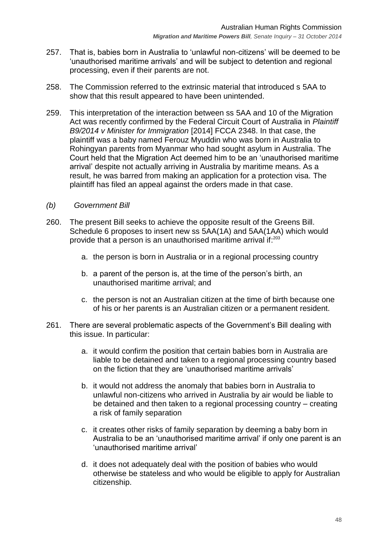- 257. That is, babies born in Australia to 'unlawful non-citizens' will be deemed to be ‗unauthorised maritime arrivals' and will be subject to detention and regional processing, even if their parents are not.
- 258. The Commission referred to the extrinsic material that introduced s 5AA to show that this result appeared to have been unintended.
- 259. This interpretation of the interaction between ss 5AA and 10 of the Migration Act was recently confirmed by the Federal Circuit Court of Australia in *Plaintiff B9/2014 v Minister for Immigration* [2014] FCCA 2348. In that case, the plaintiff was a baby named Ferouz Myuddin who was born in Australia to Rohingyan parents from Myanmar who had sought asylum in Australia. The Court held that the Migration Act deemed him to be an 'unauthorised maritime arrival' despite not actually arriving in Australia by maritime means. As a result, he was barred from making an application for a protection visa. The plaintiff has filed an appeal against the orders made in that case.
- <span id="page-47-0"></span>*(b) Government Bill*
- 260. The present Bill seeks to achieve the opposite result of the Greens Bill. Schedule 6 proposes to insert new ss 5AA(1A) and 5AA(1AA) which would provide that a person is an unauthorised maritime arrival if:<sup>203</sup>
	- a. the person is born in Australia or in a regional processing country
	- b. a parent of the person is, at the time of the person's birth, an unauthorised maritime arrival; and
	- c. the person is not an Australian citizen at the time of birth because one of his or her parents is an Australian citizen or a permanent resident.
- 261. There are several problematic aspects of the Government's Bill dealing with this issue. In particular:
	- a. it would confirm the position that certain babies born in Australia are liable to be detained and taken to a regional processing country based on the fiction that they are 'unauthorised maritime arrivals'
	- b. it would not address the anomaly that babies born in Australia to unlawful non-citizens who arrived in Australia by air would be liable to be detained and then taken to a regional processing country – creating a risk of family separation
	- c. it creates other risks of family separation by deeming a baby born in Australia to be an 'unauthorised maritime arrival' if only one parent is an 'unauthorised maritime arrival'
	- d. it does not adequately deal with the position of babies who would otherwise be stateless and who would be eligible to apply for Australian citizenship.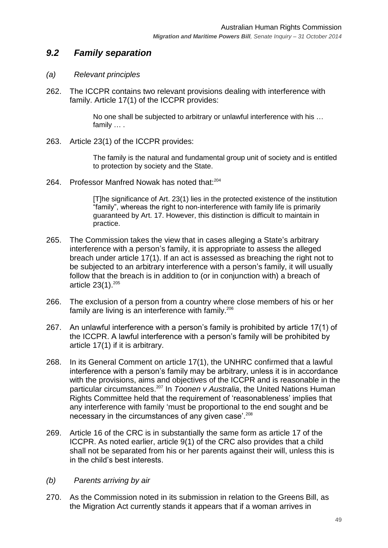## <span id="page-48-0"></span>*9.2 Family separation*

#### <span id="page-48-1"></span>*(a) Relevant principles*

262. The ICCPR contains two relevant provisions dealing with interference with family. Article 17(1) of the ICCPR provides:

> No one shall be subjected to arbitrary or unlawful interference with his … family … .

263. Article 23(1) of the ICCPR provides:

The family is the natural and fundamental group unit of society and is entitled to protection by society and the State.

264. Professor Manfred Nowak has noted that:<sup>204</sup>

[T]he significance of Art. 23(1) lies in the protected existence of the institution "family", whereas the right to non-interference with family life is primarily guaranteed by Art. 17. However, this distinction is difficult to maintain in practice.

- 265. The Commission takes the view that in cases alleging a State's arbitrary interference with a person's family, it is appropriate to assess the alleged breach under article 17(1). If an act is assessed as breaching the right not to be subjected to an arbitrary interference with a person's family, it will usually follow that the breach is in addition to (or in conjunction with) a breach of article 23(1).<sup>205</sup>
- 266. The exclusion of a person from a country where close members of his or her family are living is an interference with family.<sup>206</sup>
- 267. An unlawful interference with a person's family is prohibited by article 17(1) of the ICCPR. A lawful interference with a person's family will be prohibited by article 17(1) if it is arbitrary.
- 268. In its General Comment on article 17(1), the UNHRC confirmed that a lawful interference with a person's family may be arbitrary, unless it is in accordance with the provisions, aims and objectives of the ICCPR and is reasonable in the particular circumstances.<sup>207</sup> In *Toonen v Australia*, the United Nations Human Rights Committee held that the requirement of 'reasonableness' implies that any interference with family 'must be proportional to the end sought and be necessary in the circumstances of any given case'.<sup>208</sup>
- 269. Article 16 of the CRC is in substantially the same form as article 17 of the ICCPR. As noted earlier, article 9(1) of the CRC also provides that a child shall not be separated from his or her parents against their will, unless this is in the child's best interests.
- <span id="page-48-2"></span>*(b) Parents arriving by air*
- 270. As the Commission noted in its submission in relation to the Greens Bill, as the Migration Act currently stands it appears that if a woman arrives in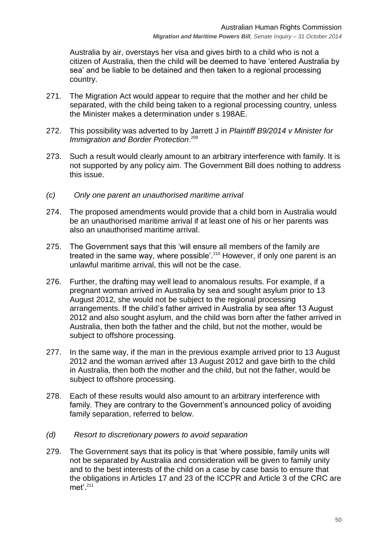Australia by air, overstays her visa and gives birth to a child who is not a citizen of Australia, then the child will be deemed to have 'entered Australia by sea' and be liable to be detained and then taken to a regional processing country.

- 271. The Migration Act would appear to require that the mother and her child be separated, with the child being taken to a regional processing country, unless the Minister makes a determination under s 198AE.
- 272. This possibility was adverted to by Jarrett J in *Plaintiff B9/2014 v Minister for Immigration and Border Protection*. 209
- 273. Such a result would clearly amount to an arbitrary interference with family. It is not supported by any policy aim. The Government Bill does nothing to address this issue.
- <span id="page-49-0"></span>*(c) Only one parent an unauthorised maritime arrival*
- 274. The proposed amendments would provide that a child born in Australia would be an unauthorised maritime arrival if at least one of his or her parents was also an unauthorised maritime arrival.
- 275. The Government says that this 'will ensure all members of the family are treated in the same way, where possible'.<sup>210</sup> However, if only one parent is an unlawful maritime arrival, this will not be the case.
- 276. Further, the drafting may well lead to anomalous results. For example, if a pregnant woman arrived in Australia by sea and sought asylum prior to 13 August 2012, she would not be subject to the regional processing arrangements. If the child's father arrived in Australia by sea after 13 August 2012 and also sought asylum, and the child was born after the father arrived in Australia, then both the father and the child, but not the mother, would be subject to offshore processing.
- 277. In the same way, if the man in the previous example arrived prior to 13 August 2012 and the woman arrived after 13 August 2012 and gave birth to the child in Australia, then both the mother and the child, but not the father, would be subject to offshore processing.
- 278. Each of these results would also amount to an arbitrary interference with family. They are contrary to the Government's announced policy of avoiding family separation, referred to below.
- <span id="page-49-1"></span>*(d) Resort to discretionary powers to avoid separation*
- 279. The Government says that its policy is that 'where possible, family units will not be separated by Australia and consideration will be given to family unity and to the best interests of the child on a case by case basis to ensure that the obligations in Articles 17 and 23 of the ICCPR and Article 3 of the CRC are met'.211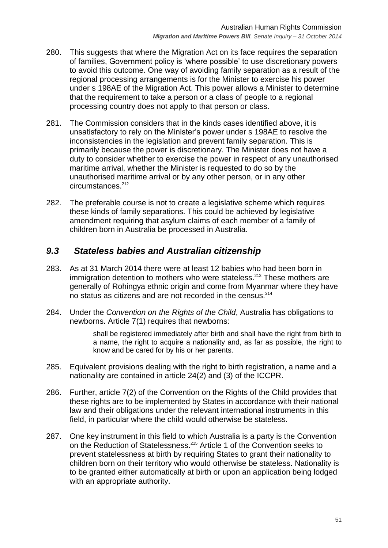- 280. This suggests that where the Migration Act on its face requires the separation of families, Government policy is ‗where possible' to use discretionary powers to avoid this outcome. One way of avoiding family separation as a result of the regional processing arrangements is for the Minister to exercise his power under s 198AE of the Migration Act. This power allows a Minister to determine that the requirement to take a person or a class of people to a regional processing country does not apply to that person or class.
- 281. The Commission considers that in the kinds cases identified above, it is unsatisfactory to rely on the Minister's power under s 198AE to resolve the inconsistencies in the legislation and prevent family separation. This is primarily because the power is discretionary. The Minister does not have a duty to consider whether to exercise the power in respect of any unauthorised maritime arrival, whether the Minister is requested to do so by the unauthorised maritime arrival or by any other person, or in any other circumstances.<sup>212</sup>
- 282. The preferable course is not to create a legislative scheme which requires these kinds of family separations. This could be achieved by legislative amendment requiring that asylum claims of each member of a family of children born in Australia be processed in Australia.

## <span id="page-50-0"></span>*9.3 Stateless babies and Australian citizenship*

- 283. As at 31 March 2014 there were at least 12 babies who had been born in immigration detention to mothers who were stateless.<sup>213</sup> These mothers are generally of Rohingya ethnic origin and come from Myanmar where they have no status as citizens and are not recorded in the census.<sup>214</sup>
- 284. Under the *Convention on the Rights of the Child*, Australia has obligations to newborns. Article 7(1) requires that newborns:

shall be registered immediately after birth and shall have the right from birth to a name, the right to acquire a nationality and, as far as possible, the right to know and be cared for by his or her parents.

- 285. Equivalent provisions dealing with the right to birth registration, a name and a nationality are contained in article 24(2) and (3) of the ICCPR.
- 286. Further, article 7(2) of the Convention on the Rights of the Child provides that these rights are to be implemented by States in accordance with their national law and their obligations under the relevant international instruments in this field, in particular where the child would otherwise be stateless.
- 287. One key instrument in this field to which Australia is a party is the Convention on the Reduction of Statelessness.<sup>215</sup> Article 1 of the Convention seeks to prevent statelessness at birth by requiring States to grant their nationality to children born on their territory who would otherwise be stateless. Nationality is to be granted either automatically at birth or upon an application being lodged with an appropriate authority.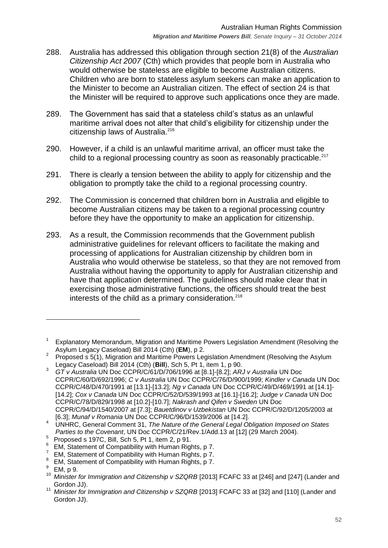- 288. Australia has addressed this obligation through section 21(8) of the *Australian Citizenship Act 2007* (Cth) which provides that people born in Australia who would otherwise be stateless are eligible to become Australian citizens. Children who are born to stateless asylum seekers can make an application to the Minister to become an Australian citizen. The effect of section 24 is that the Minister will be required to approve such applications once they are made.
- 289. The Government has said that a stateless child's status as an unlawful maritime arrival does not alter that child's eligibility for citizenship under the citizenship laws of Australia.<sup>216</sup>
- 290. However, if a child is an unlawful maritime arrival, an officer must take the child to a regional processing country as soon as reasonably practicable.<sup>217</sup>
- 291. There is clearly a tension between the ability to apply for citizenship and the obligation to promptly take the child to a regional processing country.
- 292. The Commission is concerned that children born in Australia and eligible to become Australian citizens may be taken to a regional processing country before they have the opportunity to make an application for citizenship.
- 293. As a result, the Commission recommends that the Government publish administrative guidelines for relevant officers to facilitate the making and processing of applications for Australian citizenship by children born in Australia who would otherwise be stateless, so that they are not removed from Australia without having the opportunity to apply for Australian citizenship and have that application determined. The guidelines should make clear that in exercising those administrative functions, the officers should treat the best interests of the child as a primary consideration.<sup>218</sup>

<sup>1</sup> Explanatory Memorandum, Migration and Maritime Powers Legislation Amendment (Resolving the Asylum Legacy Caseload) Bill 2014 (Cth) (**EM**), p 2.

<sup>2</sup> Proposed s 5(1), Migration and Maritime Powers Legislation Amendment (Resolving the Asylum Legacy Caseload) Bill 2014 (Cth) (**Bill**), Sch 5, Pt 1, item 1, p 90.

<sup>3</sup> *GT v Australia* UN Doc CCPR/C/61/D/706/1996 at [8.1]-[8.2]; *ARJ v Australia* UN Doc CCPR/C/60/D/692/1996; *C v Australia* UN Doc CCPR/C/76/D/900/1999; *Kindler v Canada* UN Doc CCPR/C/48/D/470/1991 at [13.1]-[13.2]; *Ng v Canada* UN Doc CCPR/C/49/D/469/1991 at [14.1]- [14.2]; *Cox v Canada* UN Doc CCPR/C/52/D/539/1993 at [16.1]-[16.2]; *Judge v Canada* UN Doc CCPR/C/78/D/829/1998 at [10.2]-[10.7]; *Nakrash and Qifen v Sweden* UN Doc CCPR/C/94/D/1540/2007 at [7.3]; *Bauetdinov v Uzbekistan* UN Doc CCPR/C/92/D/1205/2003 at [6.3]; *Munaf v Romania* UN Doc CCPR/C/96/D/1539/2006 at [14.2].

<sup>4</sup> UNHRC, General Comment 31, *The Nature of the General Legal Obligation Imposed on States Parties to the Covenant*, UN Doc CCPR/C/21/Rev.1/Add.13 at [12] (29 March 2004).

 $^5$  Proposed s 197C, Bill, Sch 5, Pt 1, item 2, p 91.

<sup>6</sup> EM, Statement of Compatibility with Human Rights, p 7.

<sup>7</sup> EM, Statement of Compatibility with Human Rights, p 7.

<sup>&</sup>lt;sup>8</sup> EM, Statement of Compatibility with Human Rights, p 7.

EM, p 9.

<sup>10</sup> *Minister for Immigration and Citizenship v SZQRB* [2013] FCAFC 33 at [246] and [247] (Lander and Gordon JJ).

<sup>11</sup> *Minister for Immigration and Citizenship v SZQRB* [2013] FCAFC 33 at [32] and [110] (Lander and Gordon JJ).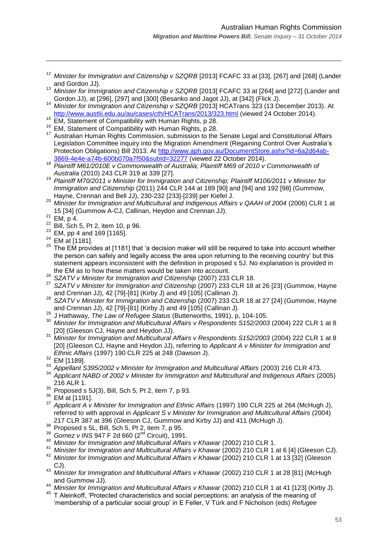- <sup>12</sup> *Minister for Immigration and Citizenship v SZQRB* [2013] FCAFC 33 at [33], [267] and [268] (Lander and Gordon JJ).
- <sup>13</sup> *Minister for Immigration and Citizenship v SZQRB* [2013] FCAFC 33 at [264] and [272] (Lander and Gordon JJ), at [296], [297] and [300] (Besanko and Jagot JJ), at [342] (Flick J).
- <sup>14</sup> *Minister for Immigration and Citizenship v SZQRB* [2013] HCATrans 323 (13 December 2013). At <http://www.austlii.edu.au/au/cases/cth/HCATrans/2013/323.html> (viewed 24 October 2014).
- <sup>115</sup> EM, Statement of Compatibility with Human Rights, p 28.
- <sup>16</sup> EM, Statement of Compatibility with Human Rights, p 28.
- <sup>17</sup> Australian Human Rights Commission, submission to the Senate Legal and Constitutional Affairs Legislation Committee inquiry into the Migration Amendment (Regaining Control Over Australia's Protection Obligations) Bill 2013. At [http://www.aph.gov.au/DocumentStore.ashx?id=6a2d64ab-](http://www.aph.gov.au/DocumentStore.ashx?id=6a2d64ab-3869-4e4e-a74b-600b070a7f50&subId=32277)[3869-4e4e-a74b-600b070a7f50&subId=32277](http://www.aph.gov.au/DocumentStore.ashx?id=6a2d64ab-3869-4e4e-a74b-600b070a7f50&subId=32277) (viewed 22 October 2014).
- <sup>18</sup> Plaintiff M61/2010E v Commonwealth of Australia; Plaintiff M69 of 2010 v Commonwealth of *Australia* (2010) 243 CLR 319 at 339 [27].
- <sup>19</sup> *Plaintiff M70/2011 v Minister for Immigration and Citizenship; Plaintiff M106/2011 v Minister for Immigration and Citizenship* (2011) 244 CLR 144 at 189 [90] and [94] and 192 [98] (Gummow, Hayne, Crennan and Bell JJ), 230-232 [233]-[239] per Kiefel J.
- <sup>20</sup> *Minister for Immigration and Multicultural and Indigenous Affairs v QAAH of 2004* (2006) CLR 1 at 15 [34] (Gummow A-CJ, Callinan, Heydon and Crennan JJ).
- $21$  EM, p 4.

- $22$  Bill, Sch 5, Pt 2, item 10, p 96.
- $23$  EM, pp 4 and 169 [1165].
- $24$  EM at [1181].
- <sup>25</sup> The EM provides at [1181] that 'a decision maker will still be required to take into account whether the person can safely and legally access the area upon returning to the receiving country' but this statement appears inconsistent with the definition in proposed s 5J. No explanation is provided in the EM as to how these matters would be taken into account.
- <sup>26</sup> *SZATV v Minister for Immigration and Citizenship* (2007) 233 CLR 18.
- <sup>27</sup> *SZATV v Minister for Immigration and Citizenship* (2007) 233 CLR 18 at 26 [23] (Gummow, Hayne and Crennan JJ), 42 [79]-[81] (Kirby J) and 49 [105] (Callinan J).
- <sup>28</sup> *SZATV v Minister for Immigration and Citizenship* (2007) 233 CLR 18 at 27 [24] (Gummow, Hayne and Crennan JJ), 42 [79]-[81] (Kirby J) and 49 [105] (Callinan J).
- <sup>29</sup> J Hathaway, *The Law of Refugee Status* (Butterworths, 1991), p, 104-105.
- <sup>30</sup> *Minister for Immigration and Multicultural Affairs v Respondents S152/2003* (2004) 222 CLR 1 at 8 [20] (Gleeson CJ, Hayne and Heydon JJ).
- <sup>31</sup> *Minister for Immigration and Multicultural Affairs v Respondents S152/2003* (2004) 222 CLR 1 at 8 [20] (Gleeson CJ, Hayne and Heydon JJ), referring to *Applicant A v Minister for Immigration and Ethnic Affairs* (1997) 190 CLR 225 at 248 (Dawson J).

- <sup>33</sup> *Appellant S395/2002 v Minister for Immigration and Multicultural Affairs* (2003) 216 CLR 473.
- <sup>34</sup> *Applicant NABD of 2002 v Minister for Immigration and Multicultural and Indigenous Affairs* (2005) 216 ALR 1.
- $35$  Proposed s 5J(3), Bill, Sch 5, Pt 2, item 7, p 93.
- <sup>36</sup> EM at [1191].
- <sup>37</sup> *Applicant A v Minister for Immigration and Ethnic Affairs* (1997) 190 CLR 225 at 264 (McHugh J), referred to with approval in *Applicant S v Minister for Immigration and Multicultural Affairs* (2004) 217 CLR 387 at 396 (Gleeson CJ, Gummow and Kirby JJ) and 411 (McHugh J).
- $38$  Proposed s 5L, Bill, Sch 5, Pt 2, item 7, p 95.
- <sup>39</sup> *Gomez v INS* 947 F 2d 660 (2nd Circuit), 1991.
- <sup>40</sup> *Minister for Immigration and Multicultural Affairs v Khawar* (2002) 210 CLR 1.
- <sup>41</sup> *Minister for Immigration and Multicultural Affairs v Khawar* (2002) 210 CLR 1 at 6 [4] (Gleeson CJ).<br><sup>42</sup> Minister for Immigration and Multiqultural Affairs v Khawar (2003) 210 CLR 1 at 12 [22] (Cleason
- <sup>42</sup> *Minister for Immigration and Multicultural Affairs v Khawar* (2002) 210 CLR 1 at 13 [32] (Gleeson CJ).
- <sup>43</sup> *Minister for Immigration and Multicultural Affairs v Khawar* (2002) 210 CLR 1 at 28 [81] (McHugh and Gummow JJ).
- <sup>44</sup> *Minister for Immigration and Multicultural Affairs v Khawar* (2002) 210 CLR 1 at 41 [123] (Kirby J).
- <sup>45</sup> T Aleinkoff, ‗Protected characteristics and social perceptions: an analysis of the meaning of ‗membership of a particular social group' in E Feller, V Türk and F Nicholson (eds) *Refugee*

 $32$  EM [1189]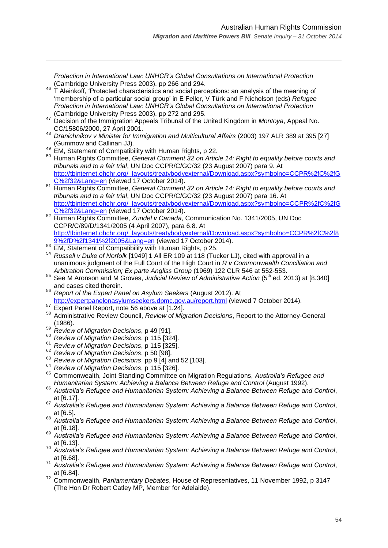*Protection in International Law: UNHCR's Global Consultations on International Protection* (Cambridge University Press 2003), pp 266 and 294.

- 46 T Aleinkoff, 'Protected characteristics and social perceptions: an analysis of the meaning of ‗membership of a particular social group' in E Feller, V Türk and F Nicholson (eds) *Refugee Protection in International Law: UNHCR's Global Consultations on International Protection* (Cambridge University Press 2003), pp 272 and 295.
- <sup>47</sup> Decision of the Immigration Appeals Tribunal of the United Kingdom in *Montoya*, Appeal No. CC/15806/2000, 27 April 2001.
- <sup>48</sup> *Dranichnikov v Minister for Immigration and Multicultural Affairs* (2003) 197 ALR 389 at 395 [27] (Gummow and Callinan JJ).
- <sup>49</sup> EM, Statement of Compatibility with Human Rights, p 22.

- <sup>50</sup> Human Rights Committee, *General Comment 32 on Article 14: Right to equality before courts and tribunals and to a fair trial*, UN Doc CCPR/C/GC/32 (23 August 2007) para 9. At [http://tbinternet.ohchr.org/\\_layouts/treatybodyexternal/Download.aspx?symbolno=CCPR%2fC%2fG](http://tbinternet.ohchr.org/_layouts/treatybodyexternal/Download.aspx?symbolno=CCPR%2fC%2fGC%2f32&Lang=en) [C%2f32&Lang=en](http://tbinternet.ohchr.org/_layouts/treatybodyexternal/Download.aspx?symbolno=CCPR%2fC%2fGC%2f32&Lang=en) (viewed 17 October 2014).
- <sup>51</sup> Human Rights Committee, *General Comment 32 on Article 14: Right to equality before courts and tribunals and to a fair trial*, UN Doc CCPR/C/GC/32 (23 August 2007) para 16. At [http://tbinternet.ohchr.org/\\_layouts/treatybodyexternal/Download.aspx?symbolno=CCPR%2fC%2fG](http://tbinternet.ohchr.org/_layouts/treatybodyexternal/Download.aspx?symbolno=CCPR%2fC%2fGC%2f32&Lang=en) [C%2f32&Lang=en](http://tbinternet.ohchr.org/_layouts/treatybodyexternal/Download.aspx?symbolno=CCPR%2fC%2fGC%2f32&Lang=en) (viewed 17 October 2014).
- <sup>52</sup> Human Rights Committee, *Zundel v Canada*, Communication No. 1341/2005, UN Doc CCPR/C/89/D/1341/2005 (4 April 2007), para 6.8. At [http://tbinternet.ohchr.org/\\_layouts/treatybodyexternal/Download.aspx?symbolno=CCPR%2fC%2f8](http://tbinternet.ohchr.org/_layouts/treatybodyexternal/Download.aspx?symbolno=CCPR%2fC%2f89%2fD%2f1341%2f2005&Lang=en) [9%2fD%2f1341%2f2005&Lang=en](http://tbinternet.ohchr.org/_layouts/treatybodyexternal/Download.aspx?symbolno=CCPR%2fC%2f89%2fD%2f1341%2f2005&Lang=en) (viewed 17 October 2014).
- 53 EM, Statement of Compatibility with Human Rights, p 25.
- <sup>54</sup> *Russell v Duke of Norfolk* [1949] 1 All ER 109 at 118 (Tucker LJ), cited with approval in a unanimous judgment of the Full Court of the High Court in *R v Commonwealth Conciliation and Arbitration Commission; Ex parte Angliss Group* (1969) 122 CLR 546 at 552-553.
- <sup>55</sup> See M Aronson and M Groves, *Judicial Review of Administrative Action* (5th ed, 2013) at [8.340] and cases cited therein.
- <sup>56</sup> *Report of the Expert Panel on Asylum Seekers* (August 2012). At <http://expertpanelonasylumseekers.dpmc.gov.au/report.html> (viewed 7 October 2014).
- <sup>57</sup> Expert Panel Report, note [56](#page-18-1) above at [1.24].
- <sup>58</sup> Administrative Review Council, *Review of Migration Decisions*, Report to the Attorney-General (1986).
- <sup>59</sup> *Review of Migration Decisions*, p 49 [91].
- <sup>60</sup> *Review of Migration Decisions*, p 115 [324].
- <sup>61</sup> *Review of Migration Decisions*, p 115 [325].
- <sup>62</sup> *Review of Migration Decisions*, p 50 [98].
- <sup>63</sup> *Review of Migration Decisions*, pp 9 [4] and 52 [103].
- <sup>64</sup> *Review of Migration Decisions*, p 115 [326].
- <sup>65</sup> Commonwealth, Joint Standing Committee on Migration Regulations, *Australia's Refugee and Humanitarian System: Achieving a Balance Between Refuge and Control* (August 1992).
- <sup>66</sup> *Australia's Refugee and Humanitarian System: Achieving a Balance Between Refuge and Control*, at [6.17].
- <sup>67</sup> *Australia's Refugee and Humanitarian System: Achieving a Balance Between Refuge and Control*, at [6.5].
- <sup>68</sup> *Australia's Refugee and Humanitarian System: Achieving a Balance Between Refuge and Control*, at [6.18].
- <sup>69</sup> *Australia's Refugee and Humanitarian System: Achieving a Balance Between Refuge and Control*, at [6.13].
- <sup>70</sup> *Australia's Refugee and Humanitarian System: Achieving a Balance Between Refuge and Control*, at [6.68].
- <sup>71</sup> *Australia's Refugee and Humanitarian System: Achieving a Balance Between Refuge and Control*, at [6.84].
- <sup>72</sup> Commonwealth, *Parliamentary Debates*, House of Representatives, 11 November 1992, p 3147 (The Hon Dr Robert Catley MP, Member for Adelaide).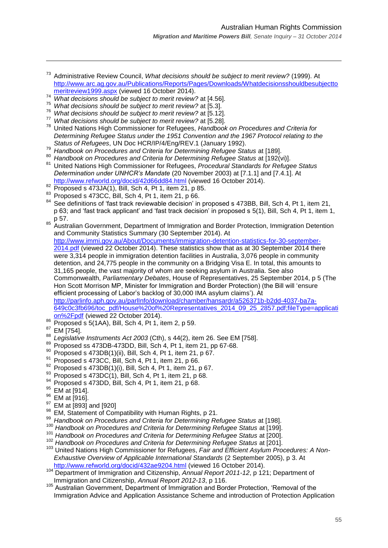- <sup>73</sup> Administrative Review Council, *What decisions should be subject to merit review?* (1999). At [http://www.arc.ag.gov.au/Publications/Reports/Pages/Downloads/Whatdecisionsshouldbesubjectto](http://www.arc.ag.gov.au/Publications/Reports/Pages/Downloads/Whatdecisionsshouldbesubjecttomeritreview1999.aspx) [meritreview1999.aspx](http://www.arc.ag.gov.au/Publications/Reports/Pages/Downloads/Whatdecisionsshouldbesubjecttomeritreview1999.aspx) (viewed 16 October 2014).
- <sup>74</sup> *What decisions should be subject to merit review?* at [4.56].
- <sup>75</sup> *What decisions should be subject to merit review?* at [5.3].
- <sup>76</sup> *What decisions should be subject to merit review?* at [5.12].
- <sup>77</sup> *What decisions should be subject to merit review?* at [5.28].
- <sup>78</sup> United Nations High Commissioner for Refugees, *Handbook on Procedures and Criteria for Determining Refugee Status under the 1951 Convention and the 1967 Protocol relating to the Status of Refugees*, UN Doc HCR/IP/4/Eng/REV.1 (January 1992).
- <sup>79</sup> *Handbook on Procedures and Criteria for Determining Refugee Status* at [189].
- <sup>80</sup> *Handbook on Procedures and Criteria for Determining Refugee Status* at [192(vi)].
- <sup>81</sup> United Nations High Commissioner for Refugees, *Procedural Standards for Refugee Status Determination under UNHCR's Mandate* (20 November 2003) at [7.1.1] and [7.4.1]. At <http://www.refworld.org/docid/42d66dd84.html> (viewed 16 October 2014).
- <sup>82</sup> Proposed s 473JA(1), Bill, Sch 4, Pt 1, item 21, p 85.
- <sup>83</sup> Proposed s 473CC, Bill, Sch 4, Pt 1, item 21, p 66.
- <sup>84</sup> See definitions of 'fast track reviewable decision' in proposed s 473BB, Bill, Sch 4, Pt 1, item 21, p 63; and 'fast track applicant' and 'fast track decision' in proposed s 5(1), Bill, Sch 4, Pt 1, item 1, p 57.
- 85 Australian Government, Department of Immigration and Border Protection, Immigration Detention and Community Statistics Summary (30 September 2014). At

[http://www.immi.gov.au/About/Documents/immigration-detention-statistics-for-30-september-](http://www.immi.gov.au/About/Documents/immigration-detention-statistics-for-30-september-2014.pdf)[2014.pdf](http://www.immi.gov.au/About/Documents/immigration-detention-statistics-for-30-september-2014.pdf) (viewed 22 October 2014). These statistics show that as at 30 September 2014 there were 3,314 people in immigration detention facilities in Australia, 3,076 people in community detention, and 24,775 people in the community on a Bridging Visa E. In total, this amounts to 31,165 people, the vast majority of whom are seeking asylum in Australia. See also Commonwealth, *Parliamentary Debates*, House of Representatives, 25 September 2014, p 5 (The Hon Scott Morrison MP, Minister for Immigration and Border Protection) (the Bill will 'ensure efficient processing of Labor's backlog of 30,000 IMA asylum claims'). At [http://parlinfo.aph.gov.au/parlInfo/download/chamber/hansardr/a526371b-b2dd-4037-ba7a-](http://parlinfo.aph.gov.au/parlInfo/download/chamber/hansardr/a526371b-b2dd-4037-ba7a-649c0c3fb696/toc_pdf/House%20of%20Representatives_2014_09_25_2857.pdf;fileType=application%2Fpdf)[649c0c3fb696/toc\\_pdf/House%20of%20Representatives\\_2014\\_09\\_25\\_2857.pdf;fileType=applicati](http://parlinfo.aph.gov.au/parlInfo/download/chamber/hansardr/a526371b-b2dd-4037-ba7a-649c0c3fb696/toc_pdf/House%20of%20Representatives_2014_09_25_2857.pdf;fileType=application%2Fpdf)

- [on%2Fpdf](http://parlinfo.aph.gov.au/parlInfo/download/chamber/hansardr/a526371b-b2dd-4037-ba7a-649c0c3fb696/toc_pdf/House%20of%20Representatives_2014_09_25_2857.pdf;fileType=application%2Fpdf) (viewed 22 October 2014).
- <sup>86</sup> Proposed s 5(1AA), Bill, Sch 4, Pt 1, item 2, p 59.
- EM [754].

- <sup>88</sup> *Legislative Instruments Act 2003* (Cth), s 44(2), item 26. See EM [758].
- $89$  Proposed ss 473DB-473DD, Bill, Sch 4, Pt 1, item 21, pp 67-68.
- $90$  Proposed s 473DB(1)(ii), Bill, Sch 4, Pt 1, item 21, p 67.
- <sup>91</sup> Proposed s 473CC, Bill, Sch 4, Pt 1, item 21, p 66.
- $92$  Proposed s 473DB(1)(i), Bill, Sch 4, Pt 1, item 21, p 67.
- $93$  Proposed s 473DC(1), Bill, Sch 4, Pt 1, item 21, p 68.
- <sup>94</sup> Proposed s 473DD, Bill, Sch 4, Pt 1, item 21, p 68.
- $95$  EM at [914].
- <sup>96</sup> EM at [916].
- <sup>97</sup> EM at [893] and [920]
- 98 EM, Statement of Compatibility with Human Rights, p 21.
- <sup>99</sup> *Handbook on Procedures and Criteria for Determining Refugee Status* at [198].
- <sup>100</sup> Handbook on Procedures and Criteria for Determining Refugee Status at [199].
- <sup>101</sup> *Handbook on Procedures and Criteria for Determining Refugee Status* at [200].
- <sup>102</sup> Handbook on Procedures and Criteria for Determining Refugee Status at [201].
- <sup>103</sup> United Nations High Commissioner for Refugees, *Fair and Efficient Asylum Procedures: A Non-Exhaustive Overview of Applicable International Standards* (2 September 2005), p 3. At <http://www.refworld.org/docid/432ae9204.html> (viewed 16 October 2014).
- <sup>104</sup> Department of Immigration and Citizenship, *Annual Report 2011-12*, p 121; Department of Immigration and Citizenship, *Annual Report 2012-13*, p 116.
- <sup>105</sup> Australian Government, Department of Immigration and Border Protection, 'Removal of the Immigration Advice and Application Assistance Scheme and introduction of Protection Application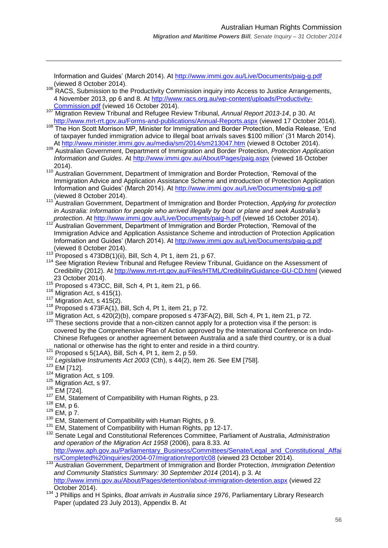Information and Guides' (March 2014). At<http://www.immi.gov.au/Live/Documents/paig-g.pdf> (viewed 8 October 2014).

- 106 RACS, Submission to the Productivity Commission inquiry into Access to Justice Arrangements, 4 November 2013, pp 6 and 8. At [http://www.racs.org.au/wp-content/uploads/Productivity-](http://www.racs.org.au/wp-content/uploads/Productivity-Commission.pdf)[Commission.pdf](http://www.racs.org.au/wp-content/uploads/Productivity-Commission.pdf) (viewed 16 October 2014).
- <sup>107</sup> Migration Review Tribunal and Refugee Review Tribunal, *Annual Report 2013-14*, p 30. At <http://www.mrt-rrt.gov.au/Forms-and-publications/Annual-Reports.aspx> (viewed 17 October 2014).
- 108 The Hon Scott Morrison MP, Minister for Immigration and Border Protection, Media Release, 'End of taxpayer funded immigration advice to illegal boat arrivals saves \$100 million' (31 March 2014). At<http://www.minister.immi.gov.au/media/sm/2014/sm213047.htm> (viewed 8 October 2014).

<sup>109</sup> Australian Government, Department of Immigration and Border Protection, *Protection Application Information and Guides*. At<http://www.immi.gov.au/About/Pages/paig.aspx> (viewed 16 October 2014).

- 110 Australian Government, Department of Immigration and Border Protection, 'Removal of the Immigration Advice and Application Assistance Scheme and introduction of Protection Application Information and Guides' (March 2014). At<http://www.immi.gov.au/Live/Documents/paig-g.pdf> (viewed 8 October 2014).
- <sup>111</sup> Australian Government, Department of Immigration and Border Protection, *Applying for protection in Australia: Information for people who arrived illegally by boat or plane and seek Australia's*  protection. At<http://www.immi.gov.au/Live/Documents/paig-h.pdf> (viewed 16 October 2014).
- Australian Government, Department of Immigration and Border Protection, 'Removal of the Immigration Advice and Application Assistance Scheme and introduction of Protection Application Information and Guides' (March 2014). At<http://www.immi.gov.au/Live/Documents/paig-g.pdf> (viewed 8 October 2014).
- $113$  Proposed s 473DB(1)(ii), Bill, Sch 4, Pt 1, item 21, p 67.
- <sup>114</sup> See Migration Review Tribunal and Refugee Review Tribunal, Guidance on the Assessment of Credibility (2012). At<http://www.mrt-rrt.gov.au/Files/HTML/CredibilityGuidance-GU-CD.html> (viewed 23 October 2014).
- <sup>115</sup> Proposed s 473CC, Bill, Sch 4, Pt 1, item 21, p 66.
- $^{116}$  Migration Act, s 415(1).
- Migration Act, s 415(2).
- $118$  Proposed s 473FA(1), Bill, Sch 4, Pt 1, item 21, p 72.
- $119$  Migration Act, s  $420(2)(b)$ , compare proposed s  $473FA(2)$ , Bill, Sch 4, Pt 1, item 21, p 72.  $120$  These sections provide that a non-citizen cannot apply for a protection visa if the person: is covered by the Comprehensive Plan of Action approved by the International Conference on Indo-Chinese Refugees or another agreement between Australia and a safe third country, or is a dual national or otherwise has the right to enter and reside in a third country.
- $121$  Proposed s 5(1AA), Bill, Sch 4, Pt 1, item 2, p 59.
- <sup>122</sup> *Legislative Instruments Act 2003* (Cth), s 44(2), item 26. See EM [758].
- $123$  EM [712].

- <sup>124</sup> Migration Act, s 109.
- <sup>125</sup> Migration Act, s 97.
- <sup>126</sup> EM [724].
- <sup>127</sup> EM. Statement of Compatibility with Human Rights, p 23.
- $128$  EM, p 6.
- <sup>129</sup> EM, p 7.
- <sup>130</sup> EM. Statement of Compatibility with Human Rights, p 9.
- <sup>131</sup> EM, Statement of Compatibility with Human Rights, pp 12-17. <sup>132</sup> Senate Legal and Constitutional References Committee, Parliament of Australia, *Administration and operation of the Migration Act 1958* (2006), para 8.33. At [http://www.aph.gov.au/Parliamentary\\_Business/Committees/Senate/Legal\\_and\\_Constitutional\\_Affai](http://www.aph.gov.au/Parliamentary_Business/Committees/Senate/Legal_and_Constitutional_Affairs/Completed%20inquiries/2004-07/migration/report/c08) [rs/Completed%20inquiries/2004-07/migration/report/c08](http://www.aph.gov.au/Parliamentary_Business/Committees/Senate/Legal_and_Constitutional_Affairs/Completed%20inquiries/2004-07/migration/report/c08) (viewed 23 October 2014).
- <sup>133</sup> Australian Government, Department of Immigration and Border Protection, *Immigration Detention and Community Statistics Summary: 30 September 2014* (2014), p 3. At <http://www.immi.gov.au/About/Pages/detention/about-immigration-detention.aspx> (viewed 22 October 2014).
- <sup>134</sup> J Phillips and H Spinks, *Boat arrivals in Australia since 1976*, Parliamentary Library Research Paper (updated 23 July 2013), Appendix B. At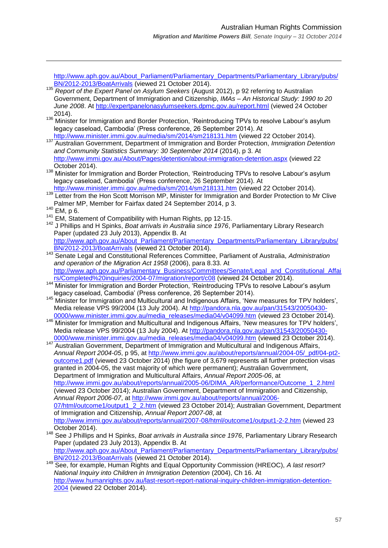[http://www.aph.gov.au/About\\_Parliament/Parliamentary\\_Departments/Parliamentary\\_Library/pubs/](http://www.aph.gov.au/About_Parliament/Parliamentary_Departments/Parliamentary_Library/pubs/BN/2012-2013/BoatArrivals) [BN/2012-2013/BoatArrivals](http://www.aph.gov.au/About_Parliament/Parliamentary_Departments/Parliamentary_Library/pubs/BN/2012-2013/BoatArrivals) (viewed 21 October 2014).

- <sup>135</sup> *Report of the Expert Panel on Asylum Seekers* (August 2012), p 92 referring to Australian Government, Department of Immigration and Citizenship, *IMAs – An Historical Study: 1990 to 20 June 2008*. At<http://expertpanelonasylumseekers.dpmc.gov.au/report.html> (viewed 24 October 2014).
- <sup>136</sup> Minister for Immigration and Border Protection, 'Reintroducing TPVs to resolve Labour's asylum legacy caseload, Cambodia' (Press conference, 26 September 2014). At
- <http://www.minister.immi.gov.au/media/sm/2014/sm218131.htm> (viewed 22 October 2014). <sup>137</sup> Australian Government, Department of Immigration and Border Protection, *Immigration Detention and Community Statistics Summary: 30 September 2014* (2014), p 3. At <http://www.immi.gov.au/About/Pages/detention/about-immigration-detention.aspx> (viewed 22 October 2014).
- 138 Minister for Immigration and Border Protection, 'Reintroducing TPVs to resolve Labour's asylum legacy caseload, Cambodia' (Press conference, 26 September 2014). At
- <http://www.minister.immi.gov.au/media/sm/2014/sm218131.htm> (viewed 22 October 2014). <sup>139</sup> Letter from the Hon Scott Morrison MP, Minister for Immigration and Border Protection to Mr Clive Palmer MP, Member for Fairfax dated 24 September 2014, p 3.
- <sup>140</sup> EM, p 6.

 $\overline{a}$ 

- <sup>141</sup> EM, Statement of Compatibility with Human Rights, pp 12-15.
- <sup>142</sup> J Phillips and H Spinks, *Boat arrivals in Australia since 1976*, Parliamentary Library Research Paper (updated 23 July 2013), Appendix B. At [http://www.aph.gov.au/About\\_Parliament/Parliamentary\\_Departments/Parliamentary\\_Library/pubs/](http://www.aph.gov.au/About_Parliament/Parliamentary_Departments/Parliamentary_Library/pubs/BN/2012-2013/BoatArrivals) [BN/2012-2013/BoatArrivals](http://www.aph.gov.au/About_Parliament/Parliamentary_Departments/Parliamentary_Library/pubs/BN/2012-2013/BoatArrivals) (viewed 21 October 2014).
- <sup>143</sup> Senate Legal and Constitutional References Committee, Parliament of Australia, *Administration and operation of the Migration Act 1958* (2006), para 8.33. At [http://www.aph.gov.au/Parliamentary\\_Business/Committees/Senate/Legal\\_and\\_Constitutional\\_Affai](http://www.aph.gov.au/Parliamentary_Business/Committees/Senate/Legal_and_Constitutional_Affairs/Completed%20inquiries/2004-07/migration/report/c08) [rs/Completed%20inquiries/2004-07/migration/report/c08](http://www.aph.gov.au/Parliamentary_Business/Committees/Senate/Legal_and_Constitutional_Affairs/Completed%20inquiries/2004-07/migration/report/c08) (viewed 24 October 2014).
- <sup>144</sup> Minister for Immigration and Border Protection, 'Reintroducing TPVs to resolve Labour's asylum legacy caseload, Cambodia' (Press conference, 26 September 2014).
- 145 Minister for Immigration and Multicultural and Indigenous Affairs, 'New measures for TPV holders', Media release VPS 99/2004 (13 July 2004). At [http://pandora.nla.gov.au/pan/31543/20050430-](http://pandora.nla.gov.au/pan/31543/20050430-0000/www.minister.immi.gov.au/media_releases/media04/v04099.htm) [0000/www.minister.immi.gov.au/media\\_releases/media04/v04099.htm](http://pandora.nla.gov.au/pan/31543/20050430-0000/www.minister.immi.gov.au/media_releases/media04/v04099.htm) (viewed 23 October 2014).
- 146 Minister for Immigration and Multicultural and Indigenous Affairs, 'New measures for TPV holders', Media release VPS 99/2004 (13 July 2004). At [http://pandora.nla.gov.au/pan/31543/20050430-](http://pandora.nla.gov.au/pan/31543/20050430-0000/www.minister.immi.gov.au/media_releases/media04/v04099.htm) [0000/www.minister.immi.gov.au/media\\_releases/media04/v04099.htm](http://pandora.nla.gov.au/pan/31543/20050430-0000/www.minister.immi.gov.au/media_releases/media04/v04099.htm) (viewed 23 October 2014).

147 **Australian Government, Department of Immigration and Multicultural and Indigenous Affairs,** *Annual Report 2004-05*, p 95, at [http://www.immi.gov.au/about/reports/annual/2004-05/\\_pdf/04-pt2](http://www.immi.gov.au/about/reports/annual/2004-05/_pdf/04-pt2-outcome1.pdf) [outcome1.pdf](http://www.immi.gov.au/about/reports/annual/2004-05/_pdf/04-pt2-outcome1.pdf) (viewed 23 October 2014) (the figure of 3,679 represents all further protection visas granted in 2004-05, the vast majority of which were permanent); Australian Government, Department of Immigration and Multicultural Affairs, *Annual Report 2005-06*, at [http://www.immi.gov.au/about/reports/annual/2005-06/DIMA\\_AR/performance/Outcome\\_1\\_2.html](http://www.immi.gov.au/about/reports/annual/2005-06/DIMA_AR/performance/Outcome_1_2.html) (viewed 23 October 2014); Australian Government, Department of Immigration and Citizenship, *Annual Report 2006-07*, at [http://www.immi.gov.au/about/reports/annual/2006-](http://www.immi.gov.au/about/reports/annual/2006-07/html/outcome1/output1_2_2.htm) [07/html/outcome1/output1\\_2\\_2.htm](http://www.immi.gov.au/about/reports/annual/2006-07/html/outcome1/output1_2_2.htm) (viewed 23 October 2014); Australian Government, Department of Immigration and Citizenship, *Annual Report 2007-08*, at <http://www.immi.gov.au/about/reports/annual/2007-08/html/outcome1/output1-2-2.htm> (viewed 23 October 2014).

- <sup>148</sup> See J Phillips and H Spinks, *Boat arrivals in Australia since 1976*, Parliamentary Library Research Paper (updated 23 July 2013), Appendix B. At [http://www.aph.gov.au/About\\_Parliament/Parliamentary\\_Departments/Parliamentary\\_Library/pubs/](http://www.aph.gov.au/About_Parliament/Parliamentary_Departments/Parliamentary_Library/pubs/BN/2012-2013/BoatArrivals) [BN/2012-2013/BoatArrivals](http://www.aph.gov.au/About_Parliament/Parliamentary_Departments/Parliamentary_Library/pubs/BN/2012-2013/BoatArrivals) (viewed 21 October 2014).
- <sup>149</sup> See, for example, Human Rights and Equal Opportunity Commission (HREOC), *A last resort? National Inquiry into Children in Immigration Detention* (2004), Ch 16. At [http://www.humanrights.gov.au/last-resort-report-national-inquiry-children-immigration-detention-](http://www.humanrights.gov.au/last-resort-report-national-inquiry-children-immigration-detention-2004)[2004](http://www.humanrights.gov.au/last-resort-report-national-inquiry-children-immigration-detention-2004) (viewed 22 October 2014).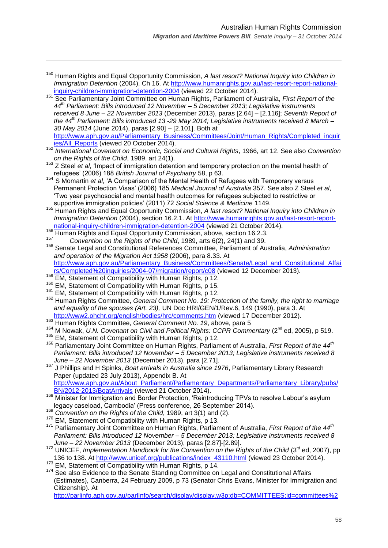<sup>150</sup> Human Rights and Equal Opportunity Commission, *A last resort? National Inquiry into Children in Immigration Detention* (2004), Ch 16. At [http://www.humanrights.gov.au/last-resort-report-national](http://www.humanrights.gov.au/last-resort-report-national-inquiry-children-immigration-detention-2004)[inquiry-children-immigration-detention-2004](http://www.humanrights.gov.au/last-resort-report-national-inquiry-children-immigration-detention-2004) (viewed 22 October 2014).

- <sup>151</sup> See Parliamentary Joint Committee on Human Rights, Parliament of Australia, *First Report of the 44th Parliament: Bills introduced 12 November – 5 December 2013; Legislative instruments received 8 June – 22 November 2013* (December 2013), paras [2.64] – [2.116]; *Seventh Report of the 44th Parliament: Bills introduced 13 -29 May 2014; Legislative instruments received 8 March – 30 May 2014* (June 2014), paras [2.90] – [2.101]. Both at [http://www.aph.gov.au/Parliamentary\\_Business/Committees/Joint/Human\\_Rights/Completed\\_inquir](http://www.aph.gov.au/Parliamentary_Business/Committees/Joint/Human_Rights/Completed_inquiries/All_Reports)
- [ies/All\\_Reports](http://www.aph.gov.au/Parliamentary_Business/Committees/Joint/Human_Rights/Completed_inquiries/All_Reports) (viewed 20 October 2014). <sup>152</sup> *International Covenant on Economic, Social and Cultural Rights*, 1966, art 12. See also *Convention on the Rights of the Child*, 1989, art 24(1).
- <sup>153</sup> Z Steel *et al*, 'Impact of immigration detention and temporary protection on the mental health of refugees' (2006) 188 *British Journal of Psychiatry* 58, p 63.
- <sup>154</sup> S Momartin *et al.* 'A Comparison of the Mental Health of Refugees with Temporary versus Permanent Protection Visas' (2006) 185 *Medical Journal of Australia* 357. See also Z Steel *et al*, ‗Two year psychosocial and mental health outcomes for refugees subjected to restrictive or supportive immigration policies' (2011) 72 *Social Science & Medicine* 1149.
- <sup>155</sup> Human Rights and Equal Opportunity Commission, *A last resort? National Inquiry into Children in Immigration Detention* (2004), section 16.2.1. At [http://www.humanrights.gov.au/last-resort-report](http://www.humanrights.gov.au/last-resort-report-national-inquiry-children-immigration-detention-2004)[national-inquiry-children-immigration-detention-2004](http://www.humanrights.gov.au/last-resort-report-national-inquiry-children-immigration-detention-2004) (viewed 21 October 2014).
- $^{156}$  Human Rights and Equal Opportunity Commission, above, section 16.2.3.
- <sup>157</sup> *Convention on the Rights of the Child*, 1989, arts 6(2), 24(1) and 39.

<sup>158</sup> Senate Legal and Constitutional References Committee, Parliament of Australia, *Administration and operation of the Migration Act 1958* (2006), para 8.33. At [http://www.aph.gov.au/Parliamentary\\_Business/Committees/Senate/Legal\\_and\\_Constitutional\\_Affai](http://www.aph.gov.au/Parliamentary_Business/Committees/Senate/Legal_and_Constitutional_Affairs/Completed%20inquiries/2004-07/migration/report/c08) [rs/Completed%20inquiries/2004-07/migration/report/c08](http://www.aph.gov.au/Parliamentary_Business/Committees/Senate/Legal_and_Constitutional_Affairs/Completed%20inquiries/2004-07/migration/report/c08) (viewed 12 December 2013).

<sup>159</sup> EM, Statement of Compatibility with Human Rights, p 12.

 $\overline{a}$ 

- <sup>160</sup> EM. Statement of Compatibility with Human Rights, p 15.
- 161 EM, Statement of Compatibility with Human Rights, p 12.
- <sup>162</sup> Human Rights Committee, *General Comment No. 19: Protection of the family, the right to marriage and equality of the spouses (Art. 23),* UN Doc HRI/GEN/1/Rev.6, 149 (1990), para 3. At <http://www2.ohchr.org/english/bodies/hrc/comments.htm> (viewed 17 December 2012).
- <sup>163</sup> Human Rights Committee, *General Comment No. 19*, above, para 5
- <sup>164</sup> M Nowak, *U.N. Covenant on Civil and Political Rights: CCPR Commentary* (2<sup>nd</sup> ed, 2005), p 519.
- <sup>165</sup> EM, Statement of Compatibility with Human Rights, p 12.
- <sup>166</sup> Parliamentary Joint Committee on Human Rights, Parliament of Australia, *First Report of the 44th Parliament: Bills introduced 12 November – 5 December 2013; Legislative instruments received 8 June – 22 November 2013* (December 2013), para [2.71].
- <sup>167</sup> J Phillips and H Spinks, *Boat arrivals in Australia since 1976*, Parliamentary Library Research Paper (updated 23 July 2013), Appendix B. At [http://www.aph.gov.au/About\\_Parliament/Parliamentary\\_Departments/Parliamentary\\_Library/pubs/](http://www.aph.gov.au/About_Parliament/Parliamentary_Departments/Parliamentary_Library/pubs/BN/2012-2013/BoatArrivals)
- [BN/2012-2013/BoatArrivals](http://www.aph.gov.au/About_Parliament/Parliamentary_Departments/Parliamentary_Library/pubs/BN/2012-2013/BoatArrivals) (viewed 21 October 2014). 168 Minister for Immigration and Border Protection, 'Reintroducing TPVs to resolve Labour's asylum
- legacy caseload, Cambodia' (Press conference, 26 September 2014).
- <sup>169</sup> *Convention on the Rights of the Child*, 1989, art 3(1) and (2).
- <sup>170</sup> EM. Statement of Compatibility with Human Rights, p 13.
- <sup>171</sup> Parliamentary Joint Committee on Human Rights, Parliament of Australia, *First Report of the 44th Parliament: Bills introduced 12 November – 5 December 2013; Legislative instruments received 8 June – 22 November 2013* (December 2013), paras [2.87]-[2.89].
- <sup>172</sup> UNICEF, *Implementation Handbook for the Convention on the Rights of the Child* (3rd ed, 2007), pp 136 to 138. At [http://www.unicef.org/publications/index\\_43110.html](http://www.unicef.org/publications/index_43110.html) (viewed 23 October 2014).
- <sup>173</sup> EM, Statement of Compatibility with Human Rights, p 14.
- <sup>174</sup> See also Evidence to the Senate Standing Committee on Legal and Constitutional Affairs (Estimates), Canberra, 24 February 2009, p 73 (Senator Chris Evans, Minister for Immigration and Citizenship). At

[http://parlinfo.aph.gov.au/parlInfo/search/display/display.w3p;db=COMMITTEES;id=committees%2](http://parlinfo.aph.gov.au/parlInfo/search/display/display.w3p;db=COMMITTEES;id=committees%2Festimate%2F11640%2F0005;query=Id%3A%22committees%2Festimate%2F11640%2F0001%22)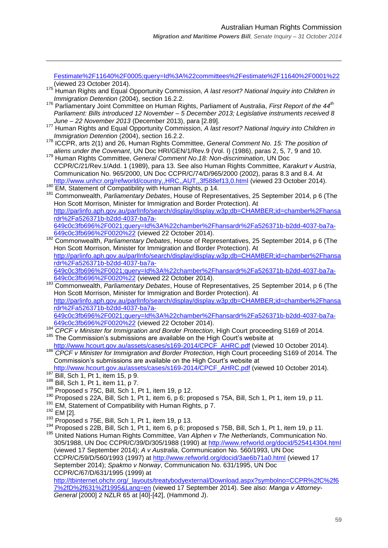[Festimate%2F11640%2F0005;query=Id%3A%22committees%2Festimate%2F11640%2F0001%22](http://parlinfo.aph.gov.au/parlInfo/search/display/display.w3p;db=COMMITTEES;id=committees%2Festimate%2F11640%2F0005;query=Id%3A%22committees%2Festimate%2F11640%2F0001%22) (viewed 23 October 2014).

- <sup>175</sup> Human Rights and Equal Opportunity Commission, *A last resort? National Inquiry into Children in Immigration Detention* (2004), section 16.2.2.
- <sup>176</sup> Parliamentary Joint Committee on Human Rights, Parliament of Australia, *First Report of the 44th Parliament: Bills introduced 12 November – 5 December 2013; Legislative instruments received 8 June – 22 November 2013* (December 2013), para [2.89].
- <sup>177</sup> Human Rights and Equal Opportunity Commission, *A last resort? National Inquiry into Children in Immigration Detention* (2004), section 16.2.2.
- <sup>178</sup> ICCPR, arts 2(1) and 26, Human Rights Committee, *General Comment No. 15: The position of aliens under the Covenant*, UN Doc HRI/GEN/1/Rev.9 (Vol. I) (1986), paras 2, 5, 7, 9 and 10.
- <sup>179</sup> Human Rights Committee, *General Comment No*.*18: Non-discrimination*, UN Doc CCPR/C/21/Rev.1/Add. 1 (1989), para 13. See also Human Rights Committee, *Karakurt v Austria*, Communication No. 965/2000, UN Doc CCPR/C/74/D/965/2000 (2002), paras 8.3 and 8.4. At <http://www.unhcr.org/refworld/country,,HRC,,AUT,,3f588ef13,0.html> (viewed 23 October 2014).
- <sup>180</sup> EM, Statement of Compatibility with Human Rights, p 14.
- <sup>181</sup> Commonwealth, *Parliamentary Debates*, House of Representatives, 25 September 2014, p 6 (The Hon Scott Morrison, Minister for Immigration and Border Protection). At [http://parlinfo.aph.gov.au/parlInfo/search/display/display.w3p;db=CHAMBER;id=chamber%2Fhansa](http://parlinfo.aph.gov.au/parlInfo/search/display/display.w3p;db=CHAMBER;id=chamber%2Fhansardr%2Fa526371b-b2dd-4037-ba7a-649c0c3fb696%2F0021;query=Id%3A%22chamber%2Fhansardr%2Fa526371b-b2dd-4037-ba7a-649c0c3fb696%2F0020%22) [rdr%2Fa526371b-b2dd-4037-ba7a-](http://parlinfo.aph.gov.au/parlInfo/search/display/display.w3p;db=CHAMBER;id=chamber%2Fhansardr%2Fa526371b-b2dd-4037-ba7a-649c0c3fb696%2F0021;query=Id%3A%22chamber%2Fhansardr%2Fa526371b-b2dd-4037-ba7a-649c0c3fb696%2F0020%22)[649c0c3fb696%2F0021;query=Id%3A%22chamber%2Fhansardr%2Fa526371b-b2dd-4037-ba7a-](http://parlinfo.aph.gov.au/parlInfo/search/display/display.w3p;db=CHAMBER;id=chamber%2Fhansardr%2Fa526371b-b2dd-4037-ba7a-649c0c3fb696%2F0021;query=Id%3A%22chamber%2Fhansardr%2Fa526371b-b2dd-4037-ba7a-649c0c3fb696%2F0020%22)
- [649c0c3fb696%2F0020%22](http://parlinfo.aph.gov.au/parlInfo/search/display/display.w3p;db=CHAMBER;id=chamber%2Fhansardr%2Fa526371b-b2dd-4037-ba7a-649c0c3fb696%2F0021;query=Id%3A%22chamber%2Fhansardr%2Fa526371b-b2dd-4037-ba7a-649c0c3fb696%2F0020%22) (viewed 22 October 2014). <sup>182</sup> Commonwealth, *Parliamentary Debates*, House of Representatives, 25 September 2014, p 6 (The Hon Scott Morrison, Minister for Immigration and Border Protection). At [http://parlinfo.aph.gov.au/parlInfo/search/display/display.w3p;db=CHAMBER;id=chamber%2Fhansa](http://parlinfo.aph.gov.au/parlInfo/search/display/display.w3p;db=CHAMBER;id=chamber%2Fhansardr%2Fa526371b-b2dd-4037-ba7a-649c0c3fb696%2F0021;query=Id%3A%22chamber%2Fhansardr%2Fa526371b-b2dd-4037-ba7a-649c0c3fb696%2F0020%22) [rdr%2Fa526371b-b2dd-4037-ba7a-](http://parlinfo.aph.gov.au/parlInfo/search/display/display.w3p;db=CHAMBER;id=chamber%2Fhansardr%2Fa526371b-b2dd-4037-ba7a-649c0c3fb696%2F0021;query=Id%3A%22chamber%2Fhansardr%2Fa526371b-b2dd-4037-ba7a-649c0c3fb696%2F0020%22)

[649c0c3fb696%2F0021;query=Id%3A%22chamber%2Fhansardr%2Fa526371b-b2dd-4037-ba7a-](http://parlinfo.aph.gov.au/parlInfo/search/display/display.w3p;db=CHAMBER;id=chamber%2Fhansardr%2Fa526371b-b2dd-4037-ba7a-649c0c3fb696%2F0021;query=Id%3A%22chamber%2Fhansardr%2Fa526371b-b2dd-4037-ba7a-649c0c3fb696%2F0020%22)[649c0c3fb696%2F0020%22](http://parlinfo.aph.gov.au/parlInfo/search/display/display.w3p;db=CHAMBER;id=chamber%2Fhansardr%2Fa526371b-b2dd-4037-ba7a-649c0c3fb696%2F0021;query=Id%3A%22chamber%2Fhansardr%2Fa526371b-b2dd-4037-ba7a-649c0c3fb696%2F0020%22) (viewed 22 October 2014).

<sup>183</sup> Commonwealth, *Parliamentary Debates*, House of Representatives, 25 September 2014, p 6 (The Hon Scott Morrison, Minister for Immigration and Border Protection). At [http://parlinfo.aph.gov.au/parlInfo/search/display/display.w3p;db=CHAMBER;id=chamber%2Fhansa](http://parlinfo.aph.gov.au/parlInfo/search/display/display.w3p;db=CHAMBER;id=chamber%2Fhansardr%2Fa526371b-b2dd-4037-ba7a-649c0c3fb696%2F0021;query=Id%3A%22chamber%2Fhansardr%2Fa526371b-b2dd-4037-ba7a-649c0c3fb696%2F0020%22) [rdr%2Fa526371b-b2dd-4037-ba7a-](http://parlinfo.aph.gov.au/parlInfo/search/display/display.w3p;db=CHAMBER;id=chamber%2Fhansardr%2Fa526371b-b2dd-4037-ba7a-649c0c3fb696%2F0021;query=Id%3A%22chamber%2Fhansardr%2Fa526371b-b2dd-4037-ba7a-649c0c3fb696%2F0020%22)[649c0c3fb696%2F0021;query=Id%3A%22chamber%2Fhansardr%2Fa526371b-b2dd-4037-ba7a-](http://parlinfo.aph.gov.au/parlInfo/search/display/display.w3p;db=CHAMBER;id=chamber%2Fhansardr%2Fa526371b-b2dd-4037-ba7a-649c0c3fb696%2F0021;query=Id%3A%22chamber%2Fhansardr%2Fa526371b-b2dd-4037-ba7a-649c0c3fb696%2F0020%22)

[649c0c3fb696%2F0020%22](http://parlinfo.aph.gov.au/parlInfo/search/display/display.w3p;db=CHAMBER;id=chamber%2Fhansardr%2Fa526371b-b2dd-4037-ba7a-649c0c3fb696%2F0021;query=Id%3A%22chamber%2Fhansardr%2Fa526371b-b2dd-4037-ba7a-649c0c3fb696%2F0020%22) (viewed 22 October 2014).

- <sup>184</sup> *CPCF v Minister for Immigration and Border Protection*, High Court proceeding S169 of 2014. <sup>185</sup> The Commission's submissions are available on the High Court's website at
- [http://www.hcourt.gov.au/assets/cases/s169-2014/CPCF\\_AHRC.pdf](http://www.hcourt.gov.au/assets/cases/s169-2014/CPCF_AHRC.pdf) (viewed 10 October 2014). <sup>186</sup> *CPCF v Minister for Immigration and Border Protection*, High Court proceeding S169 of 2014. The Commission's submissions are available on the High Court's website at

[http://www.hcourt.gov.au/assets/cases/s169-2014/CPCF\\_AHRC.pdf](http://www.hcourt.gov.au/assets/cases/s169-2014/CPCF_AHRC.pdf) (viewed 10 October 2014).

- $187$  Bill, Sch 1, Pt 1, item 15, p 9.
- 188 Bill, Sch 1, Pt 1, item 11, p 7.
- <sup>189</sup> Proposed s 75C, Bill, Sch 1, Pt 1, item 19, p 12.
- <sup>190</sup> Proposed s 22A, Bill, Sch 1, Pt 1, item 6, p 6; proposed s 75A, Bill, Sch 1, Pt 1, item 19, p 11.
- <sup>191</sup> EM, Statement of Compatibility with Human Rights, p 7.
- $192$  EM [2].

 $\overline{a}$ 

- <sup>193</sup> Proposed s 75E, Bill, Sch 1, Pt 1, item 19, p 13.
- <sup>194</sup> Proposed s 22B, Bill, Sch 1, Pt 1, item 6, p 6; proposed s 75B, Bill, Sch 1, Pt 1, item 19, p 11. <sup>195</sup> United Nations Human Rights Committee, *Van Alphen v The Netherlands*, Communication No. 305/1988, UN Doc CCPR/C/39/D/305/1988 (1990) at<http://www.refworld.org/docid/525414304.html> (viewed 17 September 2014); *A v Australia*, Communication No. 560/1993, UN Doc CCPR/C/59/D/560/1993 (1997) at<http://www.refworld.org/docid/3ae6b71a0.html> (viewed 17 September 2014); *Spakmo v Norway*, Communication No. 631/1995, UN Doc CCPR/C/67/D/631/1995 (1999) at [http://tbinternet.ohchr.org/\\_layouts/treatybodyexternal/Download.aspx?symbolno=CCPR%2fC%2f6](http://tbinternet.ohchr.org/_layouts/treatybodyexternal/Download.aspx?symbolno=CCPR%2fC%2f67%2fD%2f631%2f1995&Lang=en)

[7%2fD%2f631%2f1995&Lang=en](http://tbinternet.ohchr.org/_layouts/treatybodyexternal/Download.aspx?symbolno=CCPR%2fC%2f67%2fD%2f631%2f1995&Lang=en) (viewed 17 September 2014). See also: *Manga v Attorney-General* [2000] 2 NZLR 65 at [40]-[42], (Hammond J).